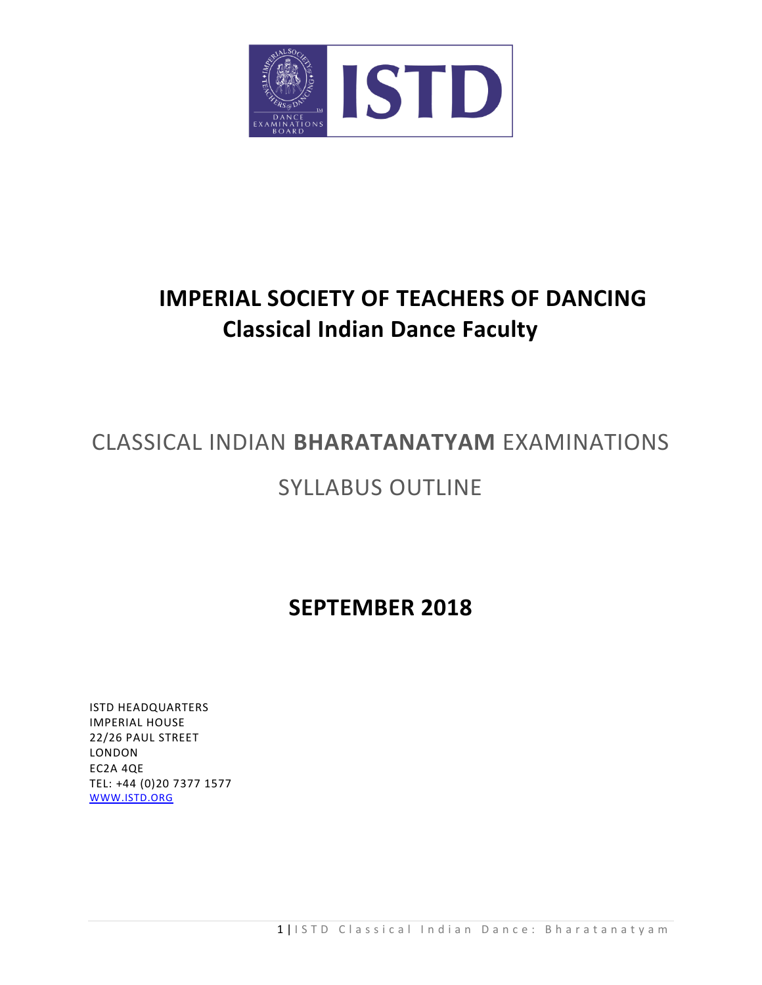

# **IMPERIAL SOCIETY OF TEACHERS OF DANCING Classical Indian Dance Faculty**

# CLASSICAL INDIAN **BHARATANATYAM** EXAMINATIONS

# SYLLABUS OUTLINE

# **SEPTEMBER 2018**

ISTD HEADQUARTERS IMPERIAL HOUSE 22/26 PAUL STREET LONDON EC2A 4QE TEL: +44 (0)20 7377 1577 [WWW.ISTD.ORG](http://www.istd.org/)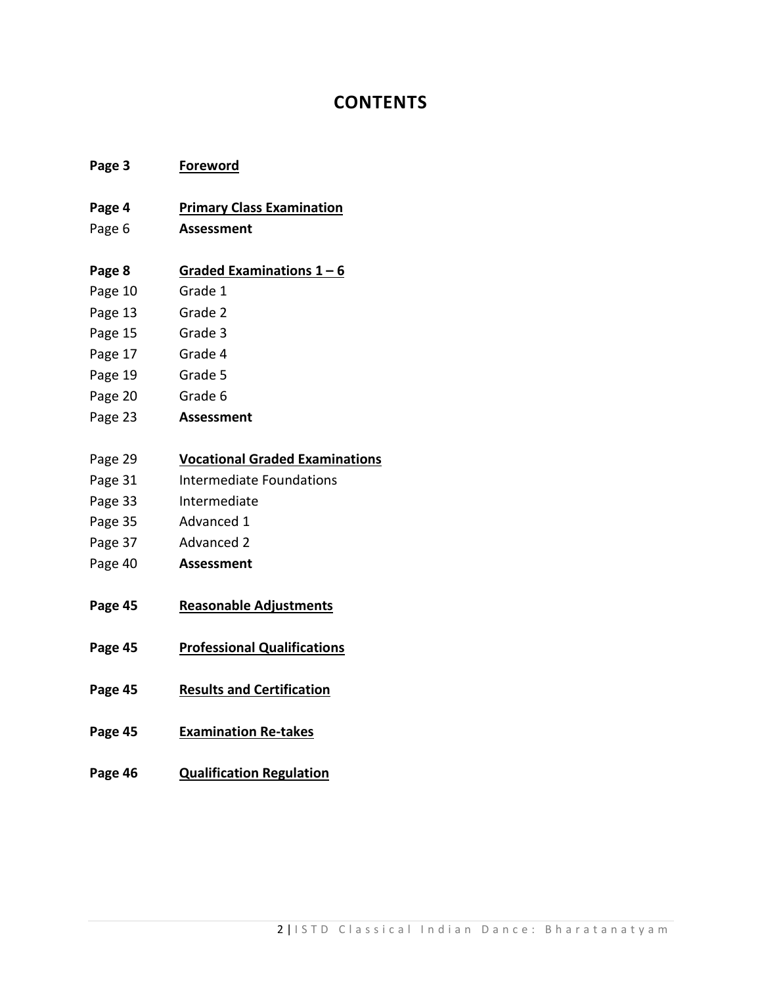# **CONTENTS**

# **Page 3 Foreword**

# **Page 4 Primary Class Examination**

Page 6 **Assessment**

# **Page 8 Graded Examinations 1 – 6**

- Page 10 Grade 1
- Page 13 Grade 2
- Page 15 Grade 3
- Page 17 Grade 4
- Page 19 Grade 5
- Page 20 Grade 6
- Page 23 **Assessment**

# Page 29 **Vocational Graded Examinations**

- Page 31 Intermediate Foundations
- Page 33 Intermediate
- Page 35 Advanced 1
- Page 37 Advanced 2
- Page 40 **Assessment**
- **Page 45 Reasonable Adjustments**
- **Page 45 Professional Qualifications**
- **Page 45 Results and Certification**
- **Page 45 Examination Re-takes**
- **Page 46 Qualification Regulation**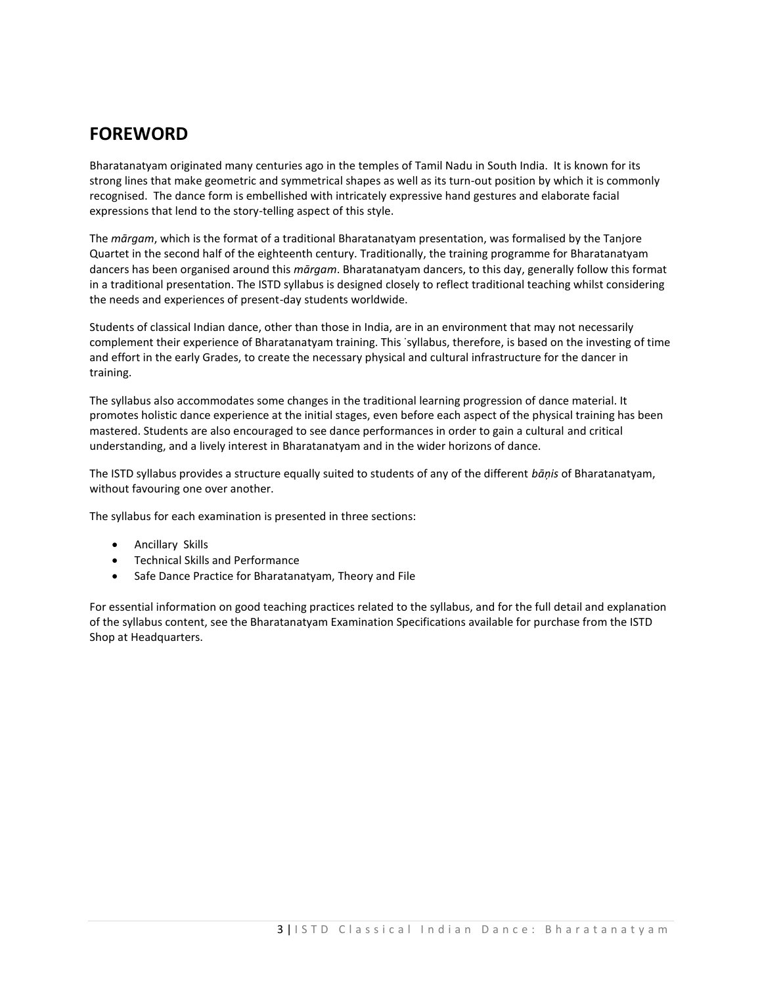# **FOREWORD**

Bharatanatyam originated many centuries ago in the temples of Tamil Nadu in South India. It is known for its strong lines that make geometric and symmetrical shapes as well as its turn-out position by which it is commonly recognised. The dance form is embellished with intricately expressive hand gestures and elaborate facial expressions that lend to the story-telling aspect of this style.

The *mārgam*, which is the format of a traditional Bharatanatyam presentation, was formalised by the Tanjore Quartet in the second half of the eighteenth century. Traditionally, the training programme for Bharatanatyam dancers has been organised around this *mārgam*. Bharatanatyam dancers, to this day, generally follow this format in a traditional presentation. The ISTD syllabus is designed closely to reflect traditional teaching whilst considering the needs and experiences of present-day students worldwide.

Students of classical Indian dance, other than those in India, are in an environment that may not necessarily complement their experience of Bharatanatyam training. This ˙syllabus, therefore, is based on the investing of time and effort in the early Grades, to create the necessary physical and cultural infrastructure for the dancer in training.

The syllabus also accommodates some changes in the traditional learning progression of dance material. It promotes holistic dance experience at the initial stages, even before each aspect of the physical training has been mastered. Students are also encouraged to see dance performances in order to gain a cultural and critical understanding, and a lively interest in Bharatanatyam and in the wider horizons of dance.

The ISTD syllabus provides a structure equally suited to students of any of the different *bāņis* of Bharatanatyam, without favouring one over another.

The syllabus for each examination is presented in three sections:

- Ancillary Skills
- Technical Skills and Performance
- Safe Dance Practice for Bharatanatyam, Theory and File

For essential information on good teaching practices related to the syllabus, and for the full detail and explanation of the syllabus content, see the Bharatanatyam Examination Specifications available for purchase from the ISTD Shop at Headquarters.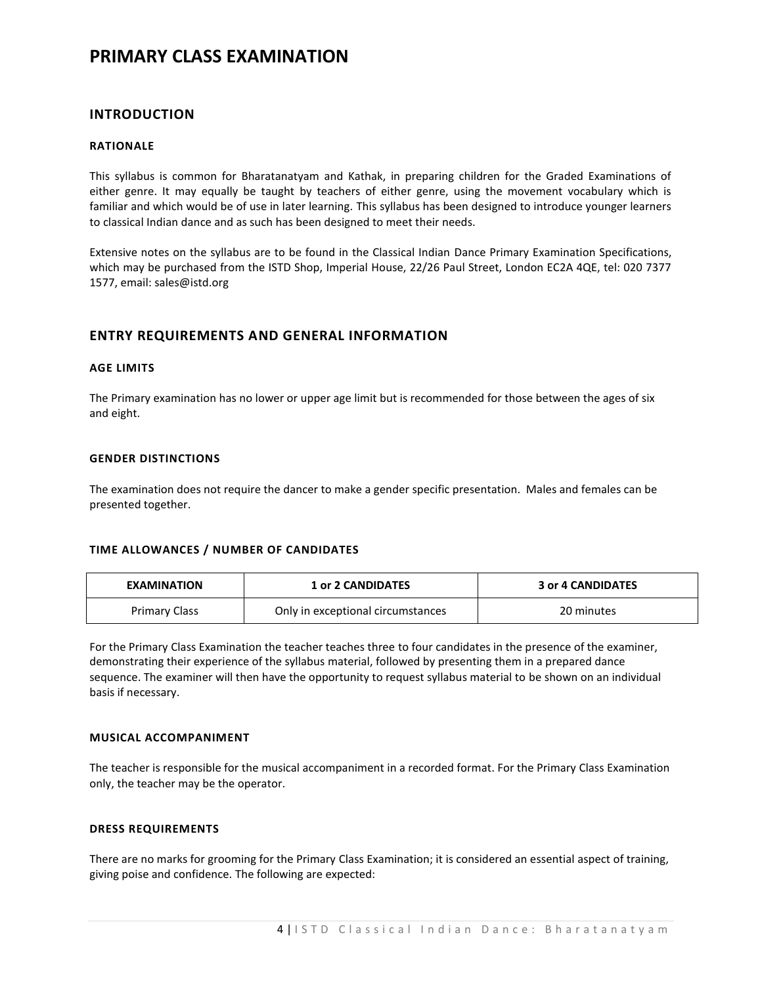# **PRIMARY CLASS EXAMINATION**

# **INTRODUCTION**

# **RATIONALE**

This syllabus is common for Bharatanatyam and Kathak, in preparing children for the Graded Examinations of either genre. It may equally be taught by teachers of either genre, using the movement vocabulary which is familiar and which would be of use in later learning. This syllabus has been designed to introduce younger learners to classical Indian dance and as such has been designed to meet their needs.

Extensive notes on the syllabus are to be found in the Classical Indian Dance Primary Examination Specifications, which may be purchased from the ISTD Shop, Imperial House, 22/26 Paul Street, London EC2A 4QE, tel: 020 7377 1577, email: sales@istd.org

# **ENTRY REQUIREMENTS AND GENERAL INFORMATION**

## **AGE LIMITS**

The Primary examination has no lower or upper age limit but is recommended for those between the ages of six and eight.

# **GENDER DISTINCTIONS**

The examination does not require the dancer to make a gender specific presentation. Males and females can be presented together.

# **TIME ALLOWANCES / NUMBER OF CANDIDATES**

| <b>EXAMINATION</b>   | <b>1 or 2 CANDIDATES</b>          | 3 or 4 CANDIDATES |
|----------------------|-----------------------------------|-------------------|
| <b>Primary Class</b> | Only in exceptional circumstances | 20 minutes        |

For the Primary Class Examination the teacher teaches three to four candidates in the presence of the examiner, demonstrating their experience of the syllabus material, followed by presenting them in a prepared dance sequence. The examiner will then have the opportunity to request syllabus material to be shown on an individual basis if necessary.

# **MUSICAL ACCOMPANIMENT**

The teacher is responsible for the musical accompaniment in a recorded format. For the Primary Class Examination only, the teacher may be the operator.

## **DRESS REQUIREMENTS**

There are no marks for grooming for the Primary Class Examination; it is considered an essential aspect of training, giving poise and confidence. The following are expected: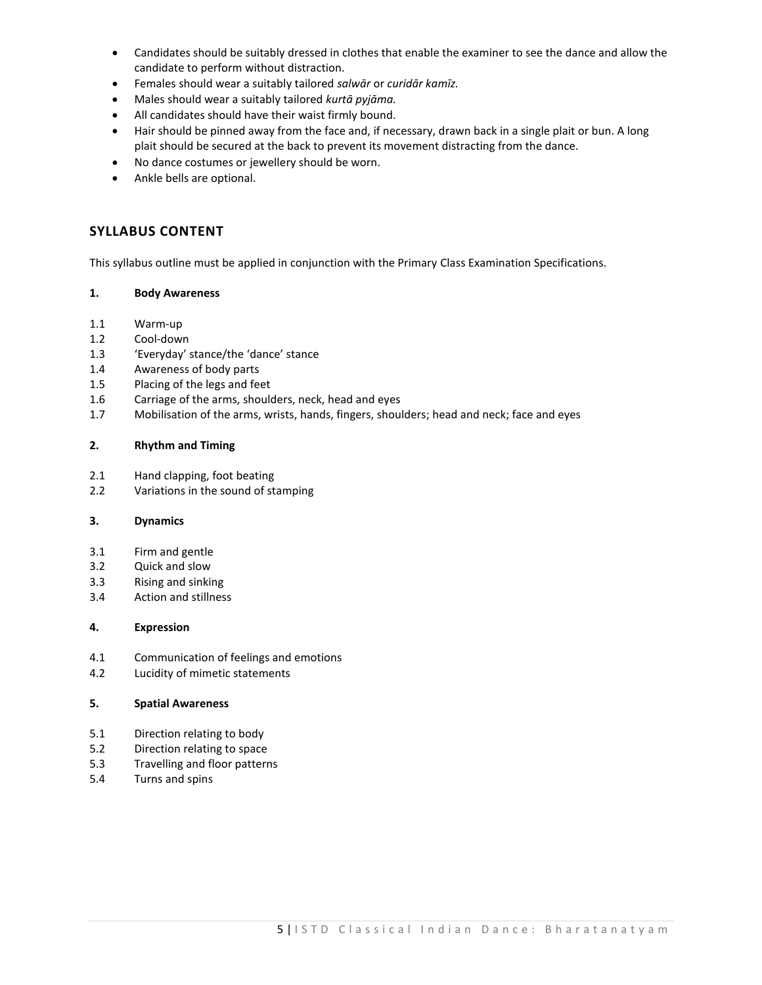- Candidates should be suitably dressed in clothes that enable the examiner to see the dance and allow the candidate to perform without distraction.
- Females should wear a suitably tailored *salwār* or *curidār kamīz.*
- Males should wear a suitably tailored *kurtā pyjāma.*
- All candidates should have their waist firmly bound.
- Hair should be pinned away from the face and, if necessary, drawn back in a single plait or bun. A long plait should be secured at the back to prevent its movement distracting from the dance.
- No dance costumes or jewellery should be worn.
- Ankle bells are optional.

# **SYLLABUS CONTENT**

This syllabus outline must be applied in conjunction with the Primary Class Examination Specifications.

# **1. Body Awareness**

- 1.1 Warm-up
- 1.2 Cool-down
- 1.3 'Everyday' stance/the 'dance' stance
- 1.4 Awareness of body parts
- 1.5 Placing of the legs and feet
- 1.6 Carriage of the arms, shoulders, neck, head and eyes
- 1.7 Mobilisation of the arms, wrists, hands, fingers, shoulders; head and neck; face and eyes

# **2. Rhythm and Timing**

- 2.1 Hand clapping, foot beating
- 2.2 Variations in the sound of stamping

# **3. Dynamics**

- 3.1 Firm and gentle
- 3.2 Quick and slow
- 3.3 Rising and sinking
- 3.4 Action and stillness

# **4. Expression**

- 4.1 Communication of feelings and emotions
- 4.2 Lucidity of mimetic statements

## **5. Spatial Awareness**

- 5.1 Direction relating to body
- 5.2 Direction relating to space
- 5.3 Travelling and floor patterns
- 5.4 Turns and spins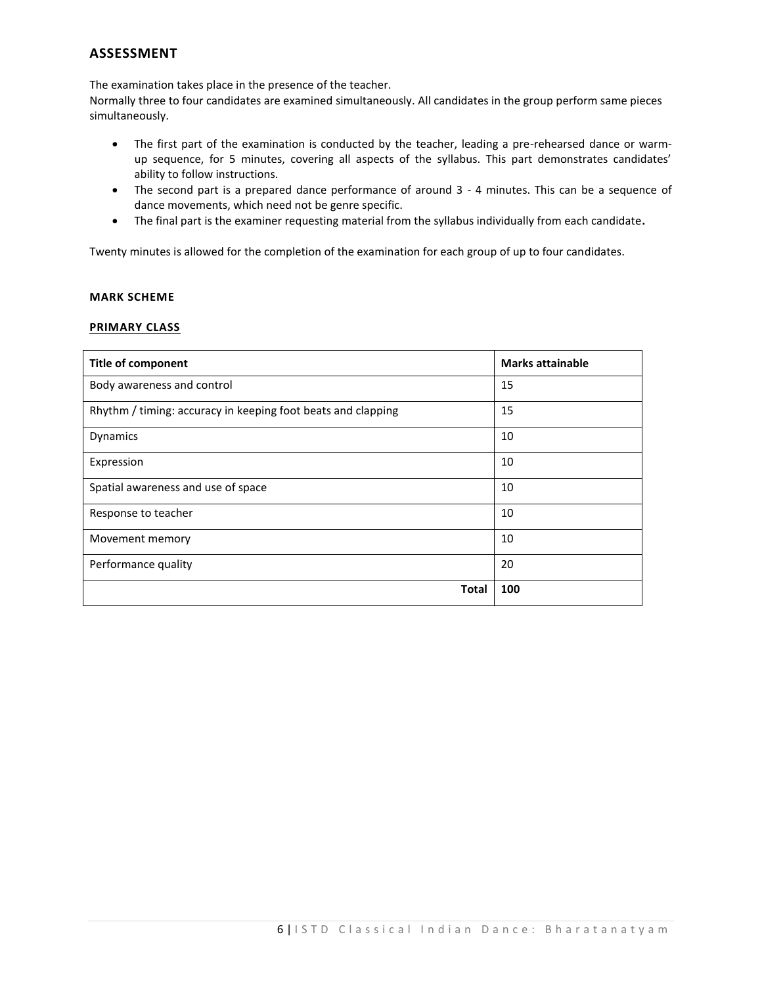# **ASSESSMENT**

The examination takes place in the presence of the teacher.

Normally three to four candidates are examined simultaneously. All candidates in the group perform same pieces simultaneously.

- The first part of the examination is conducted by the teacher, leading a pre-rehearsed dance or warmup sequence, for 5 minutes, covering all aspects of the syllabus. This part demonstrates candidates' ability to follow instructions.
- The second part is a prepared dance performance of around 3 4 minutes. This can be a sequence of dance movements, which need not be genre specific.
- The final part is the examiner requesting material from the syllabus individually from each candidate**.**

Twenty minutes is allowed for the completion of the examination for each group of up to four candidates.

# **MARK SCHEME**

# **PRIMARY CLASS**

| <b>Title of component</b>                                    | <b>Marks attainable</b> |
|--------------------------------------------------------------|-------------------------|
| Body awareness and control                                   | 15                      |
| Rhythm / timing: accuracy in keeping foot beats and clapping | 15                      |
| Dynamics                                                     | 10                      |
| Expression                                                   | 10                      |
| Spatial awareness and use of space                           | 10                      |
| Response to teacher                                          | 10                      |
| Movement memory                                              | 10                      |
| Performance quality                                          | 20                      |
| <b>Total</b>                                                 | 100                     |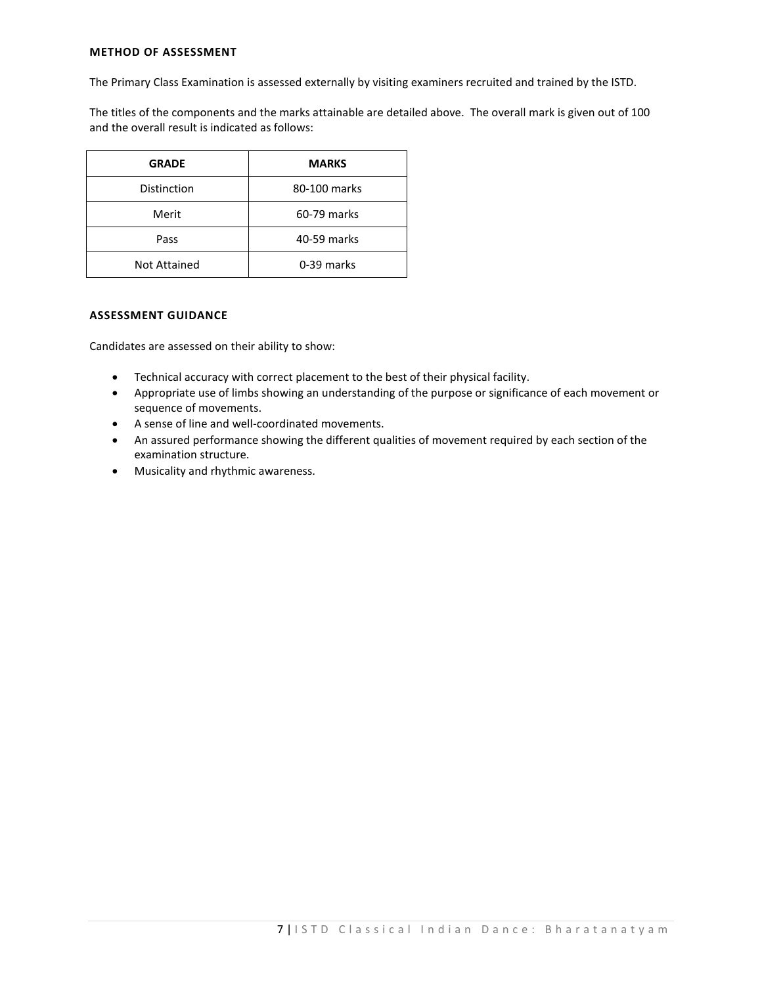# **METHOD OF ASSESSMENT**

The Primary Class Examination is assessed externally by visiting examiners recruited and trained by the ISTD.

The titles of the components and the marks attainable are detailed above. The overall mark is given out of 100 and the overall result is indicated as follows:

| <b>GRADE</b> | <b>MARKS</b> |
|--------------|--------------|
| Distinction  | 80-100 marks |
| Merit        | 60-79 marks  |
| Pass         | 40-59 marks  |
| Not Attained | 0-39 marks   |

# **ASSESSMENT GUIDANCE**

Candidates are assessed on their ability to show:

- Technical accuracy with correct placement to the best of their physical facility.
- Appropriate use of limbs showing an understanding of the purpose or significance of each movement or sequence of movements.
- A sense of line and well-coordinated movements.
- An assured performance showing the different qualities of movement required by each section of the examination structure.
- Musicality and rhythmic awareness.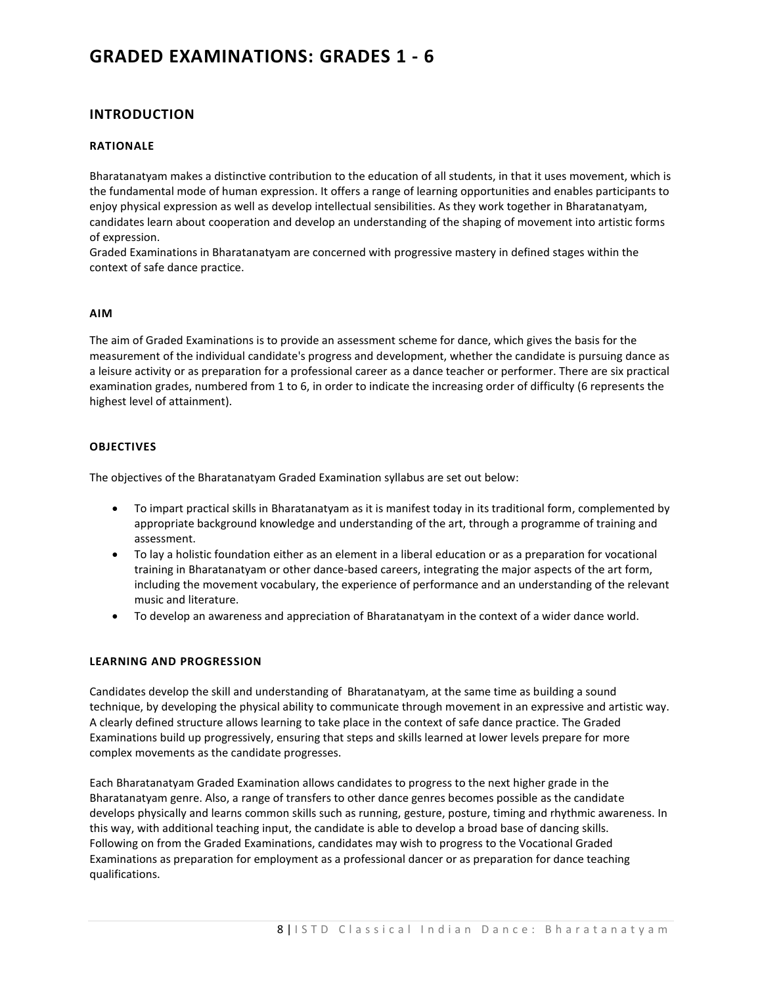# **GRADED EXAMINATIONS: GRADES 1 - 6**

# **INTRODUCTION**

# **RATIONALE**

Bharatanatyam makes a distinctive contribution to the education of all students, in that it uses movement, which is the fundamental mode of human expression. It offers a range of learning opportunities and enables participants to enjoy physical expression as well as develop intellectual sensibilities. As they work together in Bharatanatyam, candidates learn about cooperation and develop an understanding of the shaping of movement into artistic forms of expression.

Graded Examinations in Bharatanatyam are concerned with progressive mastery in defined stages within the context of safe dance practice.

## **AIM**

The aim of Graded Examinations is to provide an assessment scheme for dance, which gives the basis for the measurement of the individual candidate's progress and development, whether the candidate is pursuing dance as a leisure activity or as preparation for a professional career as a dance teacher or performer. There are six practical examination grades, numbered from 1 to 6, in order to indicate the increasing order of difficulty (6 represents the highest level of attainment).

# **OBJECTIVES**

The objectives of the Bharatanatyam Graded Examination syllabus are set out below:

- To impart practical skills in Bharatanatyam as it is manifest today in its traditional form, complemented by appropriate background knowledge and understanding of the art, through a programme of training and assessment.
- To lay a holistic foundation either as an element in a liberal education or as a preparation for vocational training in Bharatanatyam or other dance-based careers, integrating the major aspects of the art form, including the movement vocabulary, the experience of performance and an understanding of the relevant music and literature.
- To develop an awareness and appreciation of Bharatanatyam in the context of a wider dance world.

# **LEARNING AND PROGRESSION**

Candidates develop the skill and understanding of Bharatanatyam, at the same time as building a sound technique, by developing the physical ability to communicate through movement in an expressive and artistic way. A clearly defined structure allows learning to take place in the context of safe dance practice. The Graded Examinations build up progressively, ensuring that steps and skills learned at lower levels prepare for more complex movements as the candidate progresses.

Each Bharatanatyam Graded Examination allows candidates to progress to the next higher grade in the Bharatanatyam genre. Also, a range of transfers to other dance genres becomes possible as the candidate develops physically and learns common skills such as running, gesture, posture, timing and rhythmic awareness. In this way, with additional teaching input, the candidate is able to develop a broad base of dancing skills. Following on from the Graded Examinations, candidates may wish to progress to the Vocational Graded Examinations as preparation for employment as a professional dancer or as preparation for dance teaching qualifications.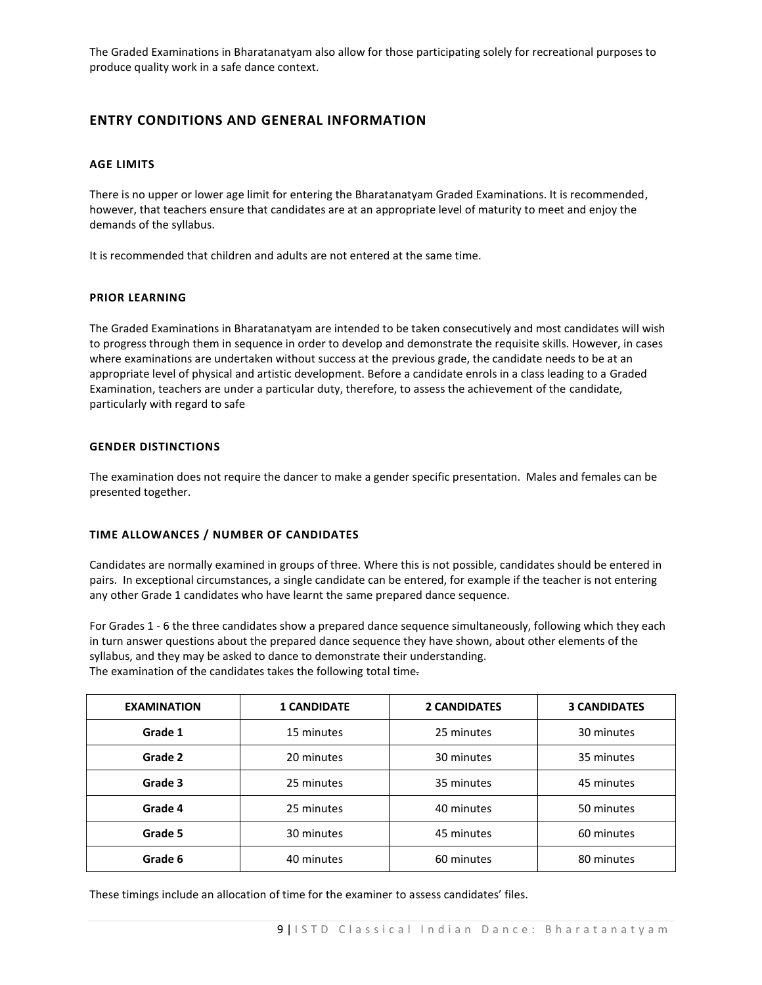The Graded Examinations in Bharatanatyam also allow for those participating solely for recreational purposes to produce quality work in a safe dance context.

# **ENTRY CONDITIONS AND GENERAL INFORMATION**

# **AGE LIMITS**

There is no upper or lower age limit for entering the Bharatanatyam Graded Examinations. It is recommended, however, that teachers ensure that candidates are at an appropriate level of maturity to meet and enjoy the demands of the syllabus.

It is recommended that children and adults are not entered at the same time.

# **PRIOR LEARNING**

The Graded Examinations in Bharatanatyam are intended to be taken consecutively and most candidates will wish to progress through them in sequence in order to develop and demonstrate the requisite skills. However, in cases where examinations are undertaken without success at the previous grade, the candidate needs to be at an appropriate level of physical and artistic development. Before a candidate enrols in a class leading to a Graded Examination, teachers are under a particular duty, therefore, to assess the achievement of the candidate, particularly with regard to safe

# **GENDER DISTINCTIONS**

The examination does not require the dancer to make a gender specific presentation. Males and females can be presented together.

## **TIME ALLOWANCES / NUMBER OF CANDIDATES**

Candidates are normally examined in groups of three. Where this is not possible, candidates should be entered in pairs. In exceptional circumstances, a single candidate can be entered, for example if the teacher is not entering any other Grade 1 candidates who have learnt the same prepared dance sequence.

For Grades 1 - 6 the three candidates show a prepared dance sequence simultaneously, following which they each in turn answer questions about the prepared dance sequence they have shown, about other elements of the syllabus, and they may be asked to dance to demonstrate their understanding. The examination of the candidates takes the following total time.

| <b>EXAMINATION</b> | <b>1 CANDIDATE</b> | <b>2 CANDIDATES</b> | <b>3 CANDIDATES</b> |
|--------------------|--------------------|---------------------|---------------------|
| Grade 1            | 15 minutes         | 25 minutes          | 30 minutes          |
| Grade 2            | 20 minutes         | 30 minutes          | 35 minutes          |
| Grade 3            | 25 minutes         | 35 minutes          | 45 minutes          |
| Grade 4            | 25 minutes         | 40 minutes          | 50 minutes          |
| Grade 5            | 30 minutes         | 45 minutes          | 60 minutes          |
| Grade 6            | 40 minutes         | 60 minutes          | 80 minutes          |

These timings include an allocation of time for the examiner to assess candidates' files.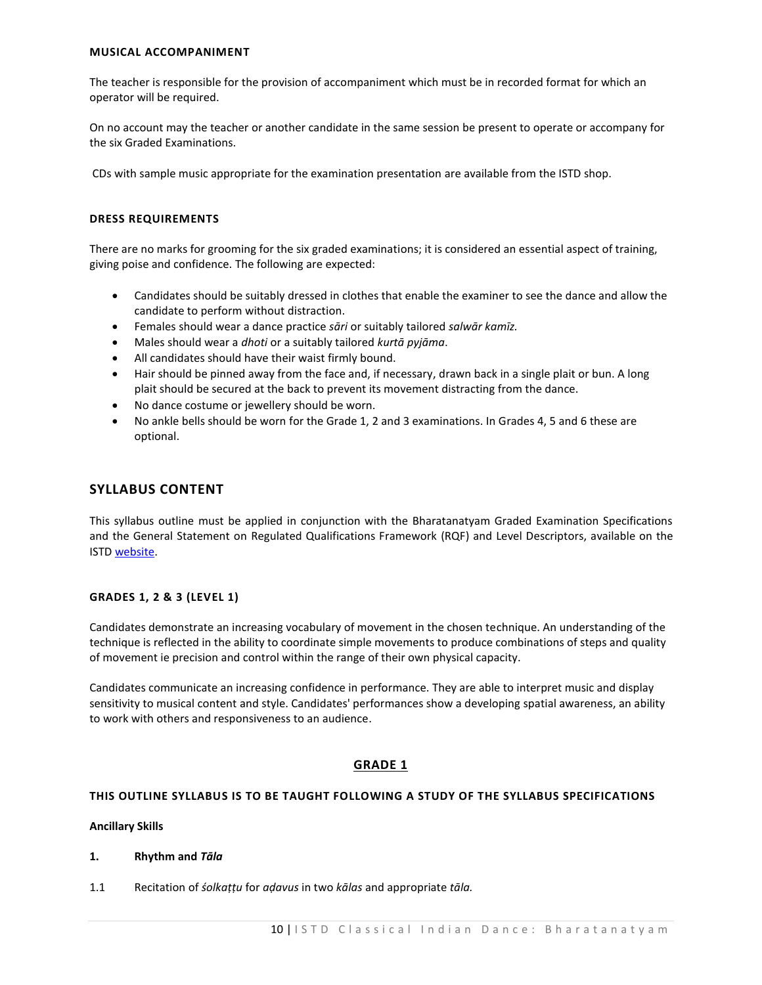# **MUSICAL ACCOMPANIMENT**

The teacher is responsible for the provision of accompaniment which must be in recorded format for which an operator will be required.

On no account may the teacher or another candidate in the same session be present to operate or accompany for the six Graded Examinations.

CDs with sample music appropriate for the examination presentation are available from the ISTD shop.

# **DRESS REQUIREMENTS**

There are no marks for grooming for the six graded examinations; it is considered an essential aspect of training, giving poise and confidence. The following are expected:

- Candidates should be suitably dressed in clothes that enable the examiner to see the dance and allow the candidate to perform without distraction.
- Females should wear a dance practice *sāri* or suitably tailored *salwār kamīz.*
- Males should wear a *dhoti* or a suitably tailored *kurtā pyjāma*.
- All candidates should have their waist firmly bound.
- Hair should be pinned away from the face and, if necessary, drawn back in a single plait or bun. A long plait should be secured at the back to prevent its movement distracting from the dance.
- No dance costume or jewellery should be worn.
- No ankle bells should be worn for the Grade 1, 2 and 3 examinations. In Grades 4, 5 and 6 these are optional.

# **SYLLABUS CONTENT**

This syllabus outline must be applied in conjunction with the Bharatanatyam Graded Examination Specifications and the General Statement on Regulated Qualifications Framework (RQF) and Level Descriptors, available on the IST[D website.](https://www.istd.org/about-us/documents/regulated-qualifications-framework-and-level-descriptors/)

# **GRADES 1, 2 & 3 (LEVEL 1)**

Candidates demonstrate an increasing vocabulary of movement in the chosen technique. An understanding of the technique is reflected in the ability to coordinate simple movements to produce combinations of steps and quality of movement ie precision and control within the range of their own physical capacity.

Candidates communicate an increasing confidence in performance. They are able to interpret music and display sensitivity to musical content and style. Candidates' performances show a developing spatial awareness, an ability to work with others and responsiveness to an audience.

# **GRADE 1**

# **THIS OUTLINE SYLLABUS IS TO BE TAUGHT FOLLOWING A STUDY OF THE SYLLABUS SPECIFICATIONS**

# **Ancillary Skills**

- **1. Rhythm and** *Tāla*
- 1.1 Recitation of *śolkaṭṭu* for *aḍavus* in two *kālas* and appropriate *tāla.*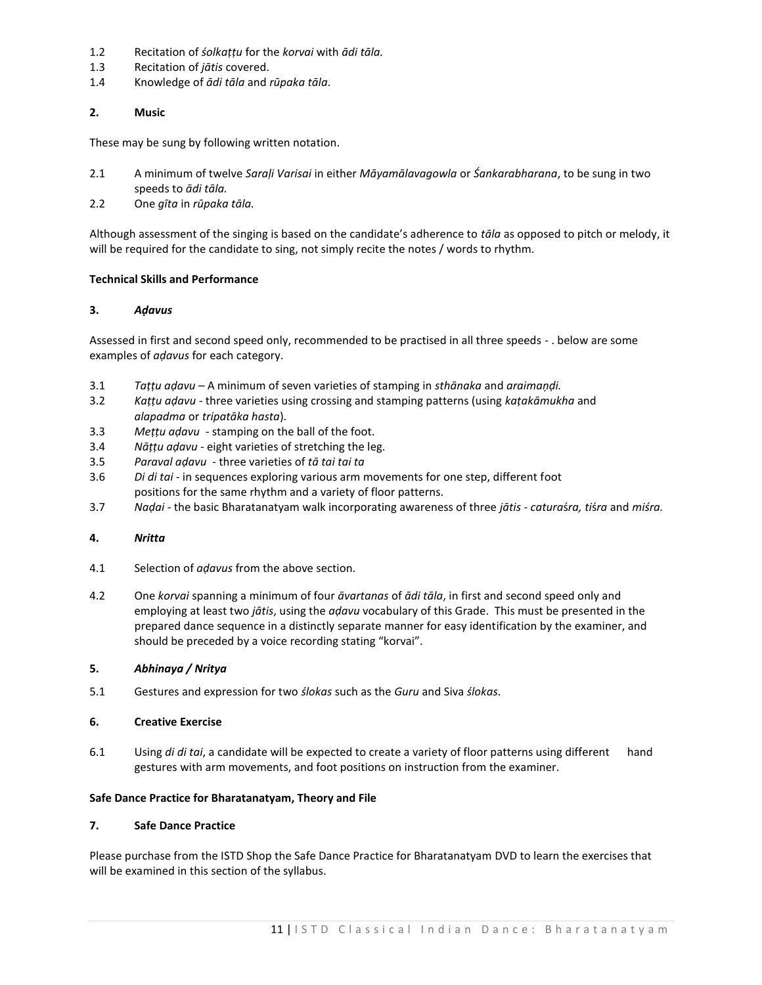- 1.2 Recitation of *śolkaṭṭu* for the *korvai* with *ādi tāla.*
- 1.3 Recitation of *jātis* covered.
- 1.4 Knowledge of *ādi tāla* and *rūpaka tāla*.

# **2. Music**

These may be sung by following written notation.

- 2.1 A minimum of twelve *Saraḷi Varisai* in either *Māyamālavagowla* or *Śankarabharana*, to be sung in two speeds to *ādi tāla.*
- 2.2 One *gīta* in *rūpaka tāla.*

Although assessment of the singing is based on the candidate's adherence to *tāla* as opposed to pitch or melody, it will be required for the candidate to sing, not simply recite the notes / words to rhythm.

# **Technical Skills and Performance**

# **3.** *Aḍavus*

Assessed in first and second speed only, recommended to be practised in all three speeds - . below are some examples of *aḍavus* for each category.

- 3.1 *Taṭṭu aḍavu –* A minimum of seven varieties of stamping in *sthānaka* and *araimaņḍi.*
- 3.2 *Kaṭṭu aḍavu*  three varieties using crossing and stamping patterns (using *kaṭakāmukha* and *alapadma* or *tripatāka hasta*).
- 3.3 *Meṭṭu aḍavu*  stamping on the ball of the foot.
- 3.4 *Nāṭṭu aḍavu*  eight varieties of stretching the leg.
- 3.5 *Paraval aḍavu*  three varieties of *tā tai tai ta*
- 3.6 *Di di tai*  in sequences exploring various arm movements for one step, different foot positions for the same rhythm and a variety of floor patterns.
- 3.7 *Naḍai*  the basic Bharatanatyam walk incorporating awareness of three *jātis - catura*ś*ra, ti*ś*ra* and *miśra.*

## **4.** *Nritta*

- 4.1 Selection of *aḍavus* from the above section.
- 4.2 One *korvai* spanning a minimum of four *āvartanas* of *ādi tāla*, in first and second speed only and employing at least two *jātis*, using the *aḍavu* vocabulary of this Grade. This must be presented in the prepared dance sequence in a distinctly separate manner for easy identification by the examiner, and should be preceded by a voice recording stating "korvai".

## **5.** *Abhinaya / Nritya*

5.1 Gestures and expression for two *ślokas* such as the *Guru* and Siva *ślokas*.

## **6. Creative Exercise**

6.1 Using *di di tai*, a candidate will be expected to create a variety of floor patterns using different hand gestures with arm movements, and foot positions on instruction from the examiner.

## **Safe Dance Practice for Bharatanatyam, Theory and File**

# **7. Safe Dance Practice**

Please purchase from the ISTD Shop the Safe Dance Practice for Bharatanatyam DVD to learn the exercises that will be examined in this section of the syllabus.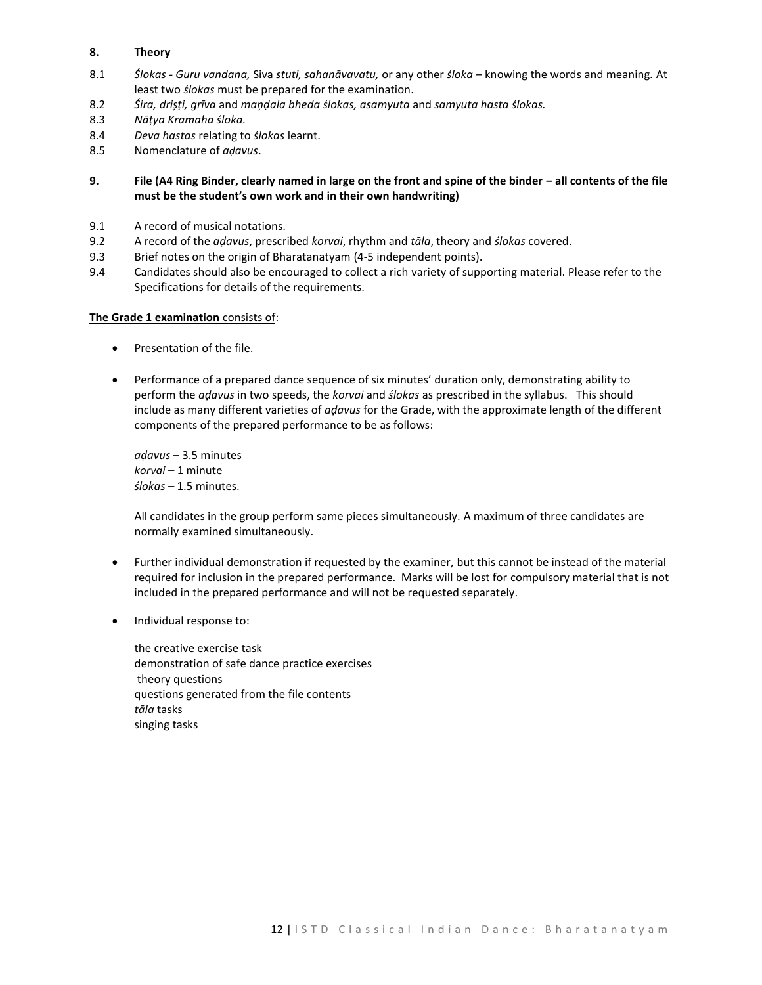# **8. Theory**

- 8.1 *Ślokas - Guru vandana,* Siva *stuti, sahanāvavatu,* or any other *śloka* knowing the words and meaning*.* At least two *ślokas* must be prepared for the examination.
- 8.2 *Śira, drișṭi, grīva* and *maņḍala bheda ślokas, asamyuta* and *samyuta hasta ślokas.*
- 8.3 *Nāṭya Kramaha śloka.*
- 8.4 *Deva hastas* relating to *ślokas* learnt.
- 8.5 Nomenclature of *aḍavus*.

**9. File (A4 Ring Binder, clearly named in large on the front and spine of the binder – all contents of the file must be the student's own work and in their own handwriting)**

- 9.1 A record of musical notations.
- 9.2 A record of the *aḍavus*, prescribed *korvai*, rhythm and *tāla*, theory and *ślokas* covered.
- 9.3 Brief notes on the origin of Bharatanatyam (4-5 independent points).
- 9.4 Candidates should also be encouraged to collect a rich variety of supporting material. Please refer to the Specifications for details of the requirements.

## **The Grade 1 examination** consists of:

- Presentation of the file.
- Performance of a prepared dance sequence of six minutes' duration only, demonstrating ability to perform the *aḍavus* in two speeds, the *korvai* and *ślokas* as prescribed in the syllabus. This should include as many different varieties of *aḍavus* for the Grade, with the approximate length of the different components of the prepared performance to be as follows:

*aḍavus* – 3.5 minutes *korvai* – 1 minute *ślokas –* 1.5 minutes.

All candidates in the group perform same pieces simultaneously. A maximum of three candidates are normally examined simultaneously.

- Further individual demonstration if requested by the examiner, but this cannot be instead of the material required for inclusion in the prepared performance. Marks will be lost for compulsory material that is not included in the prepared performance and will not be requested separately.
- Individual response to:

the creative exercise task demonstration of safe dance practice exercises theory questions questions generated from the file contents *tāla* tasks singing tasks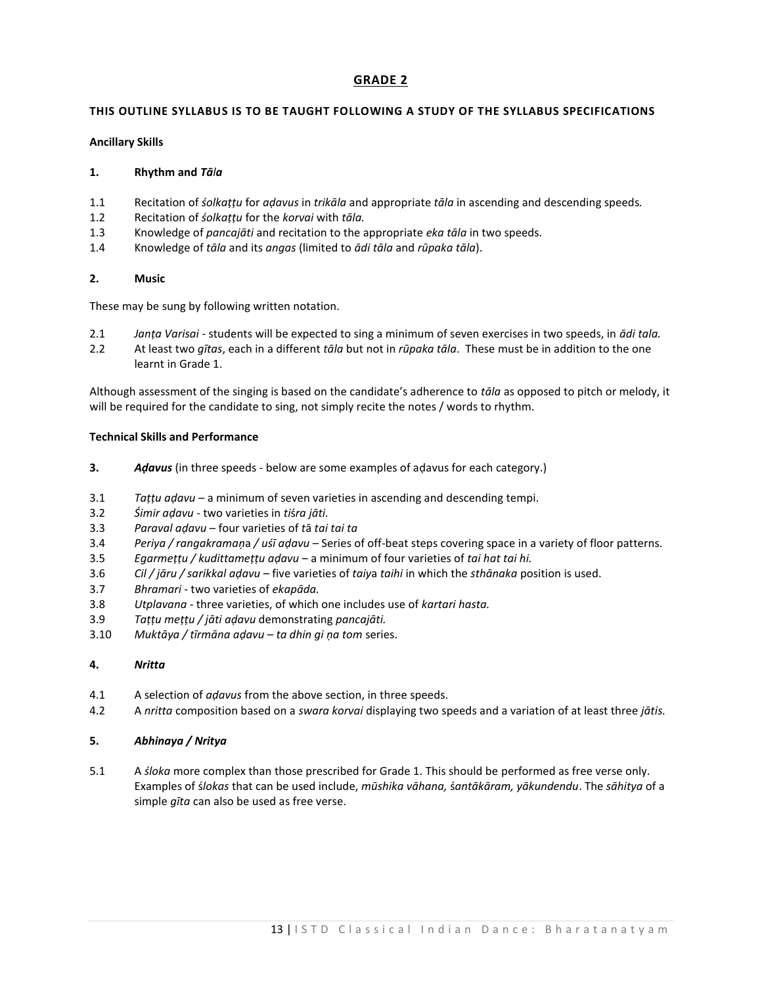# **GRADE 2**

# **THIS OUTLINE SYLLABUS IS TO BE TAUGHT FOLLOWING A STUDY OF THE SYLLABUS SPECIFICATIONS**

# **Ancillary Skills**

# **1. Rhythm and** *Tāla*

- 1.1 Recitation of *śolkaṭṭu* for *aḍavus* in *trikāla* and appropriate *tāla* in ascending and descending speeds*.*
- 1.2 Recitation of *śolkaṭṭu* for the *korvai* with *tāla.*
- 1.3 Knowledge of *pancajāti* and recitation to the appropriate *eka tāla* in two speeds.
- 1.4 Knowledge of *tāla* and its *angas* (limited to *ādi tāla* and *rūpaka tāla*).

# **2. Music**

These may be sung by following written notation.

- 2.1 *Janṭa Varisai*  students will be expected to sing a minimum of seven exercises in two speeds, in *ādi tala.*
- 2.2 At least two *gītas*, each in a different *tāla* but not in *rūpaka tāla*. These must be in addition to the one learnt in Grade 1.

Although assessment of the singing is based on the candidate's adherence to *tāla* as opposed to pitch or melody, it will be required for the candidate to sing, not simply recite the notes / words to rhythm.

# **Technical Skills and Performance**

- **3.** *Aḍavus* (in three speeds below are some examples of aḍavus for each category.)
- 3.1 *Taṭṭu aḍavu*  a minimum of seven varieties in ascending and descending tempi.
- 3.2 *Śimir aḍavu*  two varieties in *ti*ś*ra jāti.*
- 3.3 *Paraval aḍavu*  four varieties of *t*ā *tai tai ta*
- 3.4 *Periya / rangakramaņ*a */ uśī aḍavu*  Series of off-beat steps covering space in a variety of floor patterns.
- 3.5 *Egarmeṭṭu / kudittameṭṭu aḍavu*  a minimum of four varieties of *tai hat tai hi.*
- 3.6 *Cil / jāru / sarikkal aḍavu*  five varieties of *taiy*a *taihi* in which the *sthānaka* position is used.
- 3.7 *Bhramari*  two varieties of *ekapāda.*
- 3.8 *Utplavana*  three varieties, of which one includes use of *kartari hasta.*
- 3.9 *Taṭṭu meṭṭu / jāti aḍavu* demonstrating *pancajāti.*
- 3.10 *Muktāya / tīrmāna aḍavu ta dhin gi ņa tom* series.

# **4.** *Nritta*

- 4.1 A selection of *aḍavus* from the above section, in three speeds.
- 4.2 A *nritta* composition based on a *swara korvai* displaying two speeds and a variation of at least three *jātis.*

## **5.** *Abhinaya / Nritya*

5.1 A *śloka* more complex than those prescribed for Grade 1. This should be performed as free verse only. Examples of ś*lokas* that can be used include, *mūshika vāhana,* ś*antākāram, yākundendu*. The *sāhitya* of a simple *gīta* can also be used as free verse.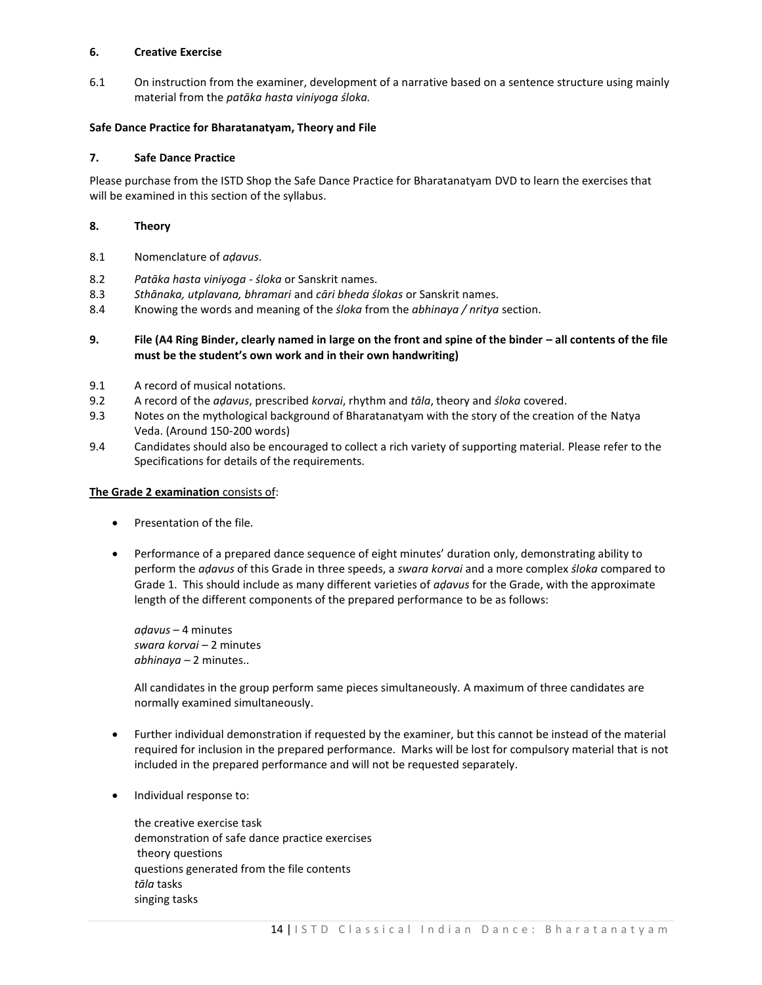# **6. Creative Exercise**

6.1 On instruction from the examiner, development of a narrative based on a sentence structure using mainly material from the *patāka hasta viniyoga śloka.*

# **Safe Dance Practice for Bharatanatyam, Theory and File**

# **7. Safe Dance Practice**

Please purchase from the ISTD Shop the Safe Dance Practice for Bharatanatyam DVD to learn the exercises that will be examined in this section of the syllabus.

# **8. Theory**

- 8.1 Nomenclature of *aḍavus*.
- 8.2 *Patāka hasta viniyoga - śloka* or Sanskrit names.
- 8.3 *Sthānaka, utplavana, bhramari* and *cāri bheda ślokas* or Sanskrit names.
- 8.4 Knowing the words and meaning of the *śloka* from the *abhinaya / nritya* section.

# **9. File (A4 Ring Binder, clearly named in large on the front and spine of the binder – all contents of the file must be the student's own work and in their own handwriting)**

- 9.1 A record of musical notations.
- 9.2 A record of the *aḍavus*, prescribed *korvai*, rhythm and *tāla*, theory and *śloka* covered.
- 9.3 Notes on the mythological background of Bharatanatyam with the story of the creation of the Natya Veda. (Around 150-200 words)
- 9.4 Candidates should also be encouraged to collect a rich variety of supporting material. Please refer to the Specifications for details of the requirements.

# **The Grade 2 examination** consists of:

- **•** Presentation of the file.
- Performance of a prepared dance sequence of eight minutes' duration only, demonstrating ability to perform the *aḍavus* of this Grade in three speeds, a *swara korvai* and a more complex *śloka* compared to Grade 1. This should include as many different varieties of *aḍavus* for the Grade, with the approximate length of the different components of the prepared performance to be as follows:

*aḍavus* – 4 minutes *swara korvai* – 2 minutes *abhinaya –* 2 minutes..

All candidates in the group perform same pieces simultaneously. A maximum of three candidates are normally examined simultaneously.

- Further individual demonstration if requested by the examiner, but this cannot be instead of the material required for inclusion in the prepared performance. Marks will be lost for compulsory material that is not included in the prepared performance and will not be requested separately.
- Individual response to:

the creative exercise task demonstration of safe dance practice exercises theory questions questions generated from the file contents *tāla* tasks singing tasks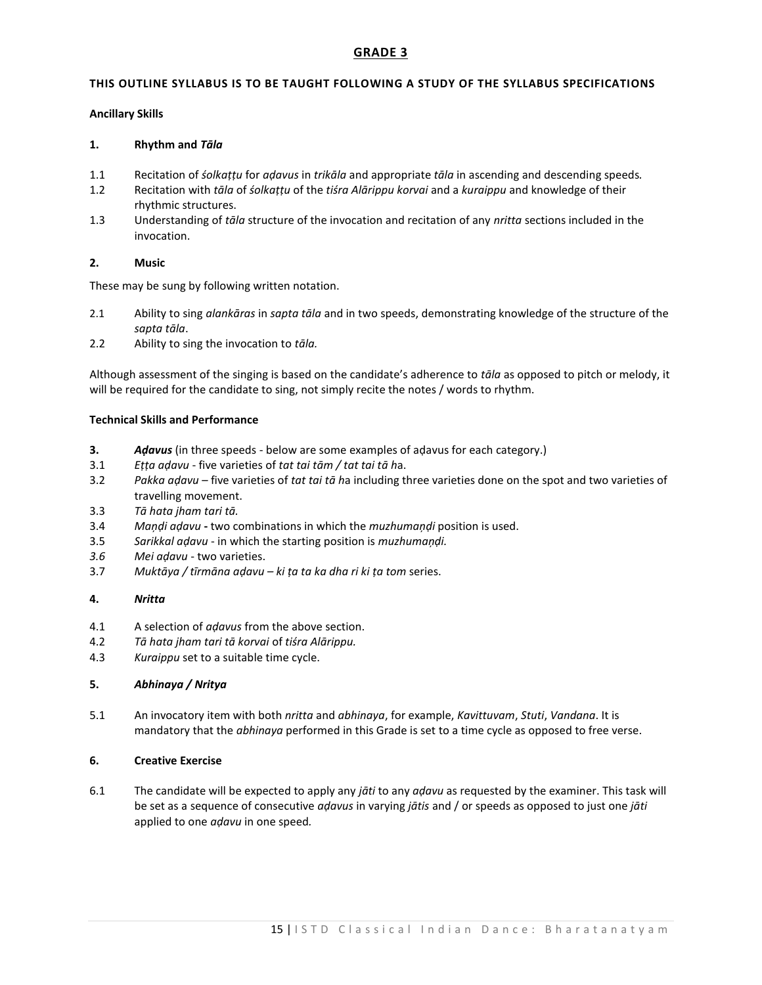# **GRADE 3**

# **THIS OUTLINE SYLLABUS IS TO BE TAUGHT FOLLOWING A STUDY OF THE SYLLABUS SPECIFICATIONS**

# **Ancillary Skills**

# **1. Rhythm and** *Tāla*

- 1.1 Recitation of *śolkaṭṭu* for *aḍavus* in *trikāla* and appropriate *tāla* in ascending and descending speeds*.*
- 1.2 Recitation with *tāla* of *śolkaṭṭu* of the *tiśra Alārippu korvai* and a *kuraippu* and knowledge of their rhythmic structures.
- 1.3 Understanding of *tāla* structure of the invocation and recitation of any *nritta* sections included in the invocation.

# **2. Music**

These may be sung by following written notation.

- 2.1 Ability to sing *alankāras* in *sapta tāla* and in two speeds, demonstrating knowledge of the structure of the *sapta tāla*.
- 2.2 Ability to sing the invocation to *tāla.*

Although assessment of the singing is based on the candidate's adherence to *tāla* as opposed to pitch or melody, it will be required for the candidate to sing, not simply recite the notes / words to rhythm.

# **Technical Skills and Performance**

- **3.** *Aḍavus* (in three speeds below are some examples of aḍavus for each category.)
- 3.1 *Eṭṭa aḍavu* five varieties of *tat tai tām / tat tai tā h*a.
- 3.2 *Pakka aḍavu* five varieties of *tat tai tā h*a including three varieties done on the spot and two varieties of travelling movement.
- 3.3 *Tā hata jham tari tā.*
- 3.4 *Maņḍi aḍavu* **-** two combinations in which the *muzhumaņḍi* position is used.
- 3.5 *Sarikkal aḍavu* in which the starting position is *muzhumaņḍi.*
- *3.6 Mei aḍavu* two varieties.
- 3.7 *Muktāya / tīrmāna aḍavu – ki ṭa ta ka dha ri ki ṭa tom* series.

## **4.** *Nritta*

- 4.1 A selection of *aḍavus* from the above section.
- 4.2 *Tā hata jham tari tā korvai* of *tiśra Alārippu.*
- 4.3 *Kuraippu* set to a suitable time cycle.

# **5.** *Abhinaya / Nritya*

5.1 An invocatory item with both *nritta* and *abhinaya*, for example, *Kavittuvam*, *Stuti*, *Vandana*. It is mandatory that the *abhinaya* performed in this Grade is set to a time cycle as opposed to free verse.

# **6. Creative Exercise**

6.1 The candidate will be expected to apply any *jāti* to any *aḍavu* as requested by the examiner. This task will be set as a sequence of consecutive *aḍavus* in varying *jātis* and / or speeds as opposed to just one *jāti*  applied to one *aḍavu* in one speed*.*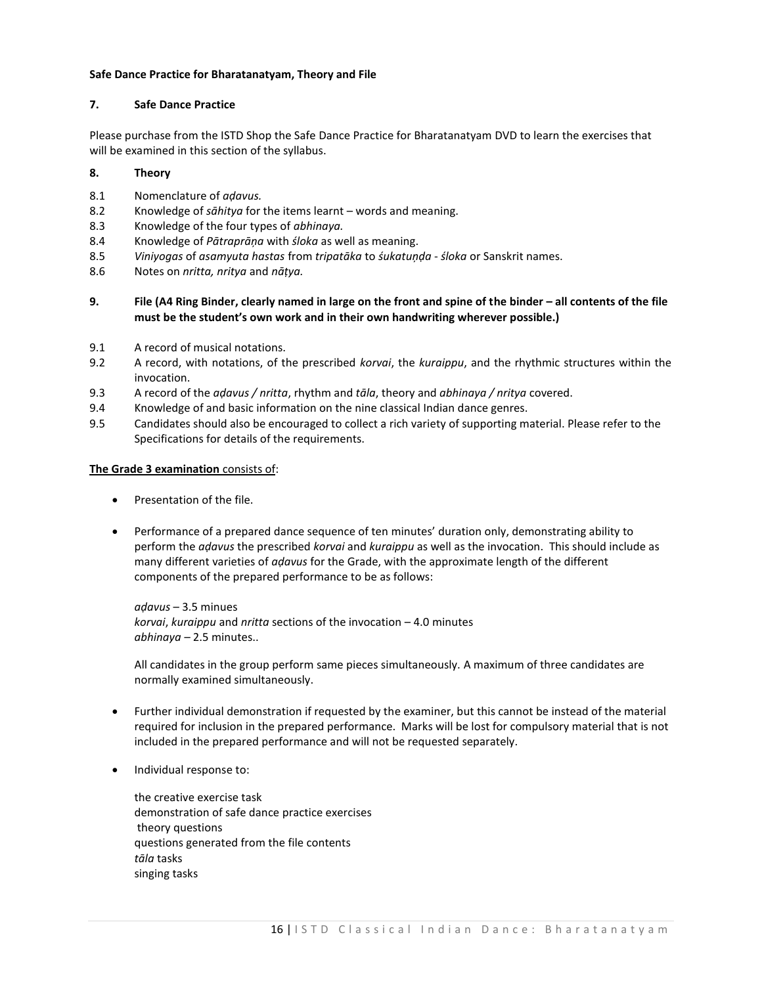# **Safe Dance Practice for Bharatanatyam, Theory and File**

# **7. Safe Dance Practice**

Please purchase from the ISTD Shop the Safe Dance Practice for Bharatanatyam DVD to learn the exercises that will be examined in this section of the syllabus.

# **8. Theory**

- 8.1 Nomenclature of *aḍavus.*
- 8.2 Knowledge of *sāhitya* for the items learnt words and meaning.
- 8.3 Knowledge of the four types of *abhinaya.*
- 8.4 Knowledge of *Pātraprāņa* with *śloka* as well as meaning.
- 8.5 *Viniyogas* of *asamyuta hastas* from *tripatāka* to *śukatuņḍa śloka* or Sanskrit names.
- 8.6 Notes on *nritta, nritya* and *nāṭya.*

# **9. File (A4 Ring Binder, clearly named in large on the front and spine of the binder – all contents of the file must be the student's own work and in their own handwriting wherever possible.)**

- 9.1 A record of musical notations.
- 9.2 A record, with notations, of the prescribed *korvai*, the *kuraippu*, and the rhythmic structures within the invocation.
- 9.3 A record of the *aḍavus / nritta*, rhythm and *tāla*, theory and *abhinaya / nritya* covered.
- 9.4 Knowledge of and basic information on the nine classical Indian dance genres.
- 9.5 Candidates should also be encouraged to collect a rich variety of supporting material. Please refer to the Specifications for details of the requirements.

# **The Grade 3 examination** consists of:

- Presentation of the file.
- Performance of a prepared dance sequence of ten minutes' duration only, demonstrating ability to perform the *aḍavus* the prescribed *korvai* and *kuraippu* as well as the invocation. This should include as many different varieties of *aḍavus* for the Grade, with the approximate length of the different components of the prepared performance to be as follows:

*aḍavus* – 3.5 minues *korvai*, *kuraippu* and *nritta* sections of the invocation – 4.0 minutes *abhinaya –* 2.5 minutes..

All candidates in the group perform same pieces simultaneously. A maximum of three candidates are normally examined simultaneously.

- Further individual demonstration if requested by the examiner, but this cannot be instead of the material required for inclusion in the prepared performance. Marks will be lost for compulsory material that is not included in the prepared performance and will not be requested separately.
- Individual response to:

the creative exercise task demonstration of safe dance practice exercises theory questions questions generated from the file contents *tāla* tasks singing tasks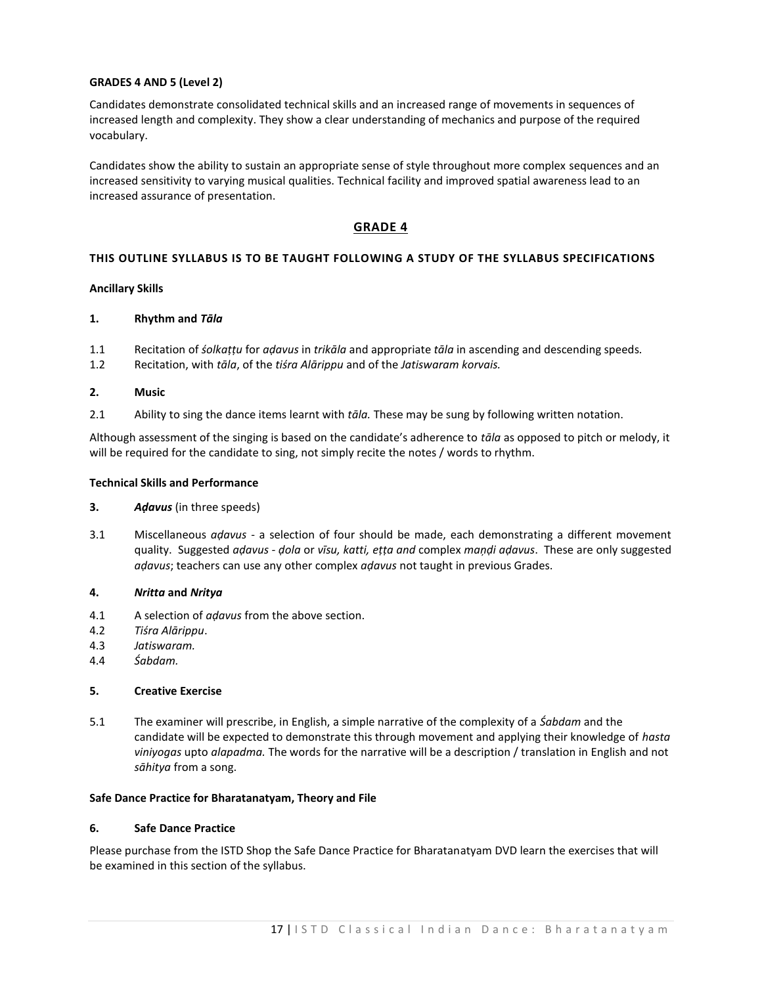# **GRADES 4 AND 5 (Level 2)**

Candidates demonstrate consolidated technical skills and an increased range of movements in sequences of increased length and complexity. They show a clear understanding of mechanics and purpose of the required vocabulary.

Candidates show the ability to sustain an appropriate sense of style throughout more complex sequences and an increased sensitivity to varying musical qualities. Technical facility and improved spatial awareness lead to an increased assurance of presentation.

# **GRADE 4**

# **THIS OUTLINE SYLLABUS IS TO BE TAUGHT FOLLOWING A STUDY OF THE SYLLABUS SPECIFICATIONS**

## **Ancillary Skills**

## **1. Rhythm and** *Tāla*

- 1.1 Recitation of *śolkaṭṭu* for *aḍavus* in *trikāla* and appropriate *tāla* in ascending and descending speeds*.*
- 1.2 Recitation, with *tāla*, of the *tiśra Alārippu* and of the *Jatiswaram korvais.*

#### **2. Music**

2.1 Ability to sing the dance items learnt with *tāla.* These may be sung by following written notation.

Although assessment of the singing is based on the candidate's adherence to *tāla* as opposed to pitch or melody, it will be required for the candidate to sing, not simply recite the notes / words to rhythm.

## **Technical Skills and Performance**

- **3.** *Aḍavus* (in three speeds)
- 3.1 Miscellaneous *aḍavus*  a selection of four should be made, each demonstrating a different movement quality. Suggested *aḍavus - ḍola* or *vīsu, katti, eṭṭa and* complex *maņḍi aḍavus*. These are only suggested *aḍavus*; teachers can use any other complex *aḍavus* not taught in previous Grades.

## **4.** *Nritta* **and** *Nritya*

- 4.1 A selection of *aḍavus* from the above section.
- 4.2 *Tiśra Alārippu*.
- 4.3 *Jatiswaram.*
- 4.4 *Śabdam.*

## **5. Creative Exercise**

5.1 The examiner will prescribe, in English, a simple narrative of the complexity of a *Śabdam* and the candidate will be expected to demonstrate this through movement and applying their knowledge of *hasta viniyogas* upto *alapadma.* The words for the narrative will be a description / translation in English and not *sāhitya* from a song.

# **Safe Dance Practice for Bharatanatyam, Theory and File**

#### **6. Safe Dance Practice**

Please purchase from the ISTD Shop the Safe Dance Practice for Bharatanatyam DVD learn the exercises that will be examined in this section of the syllabus.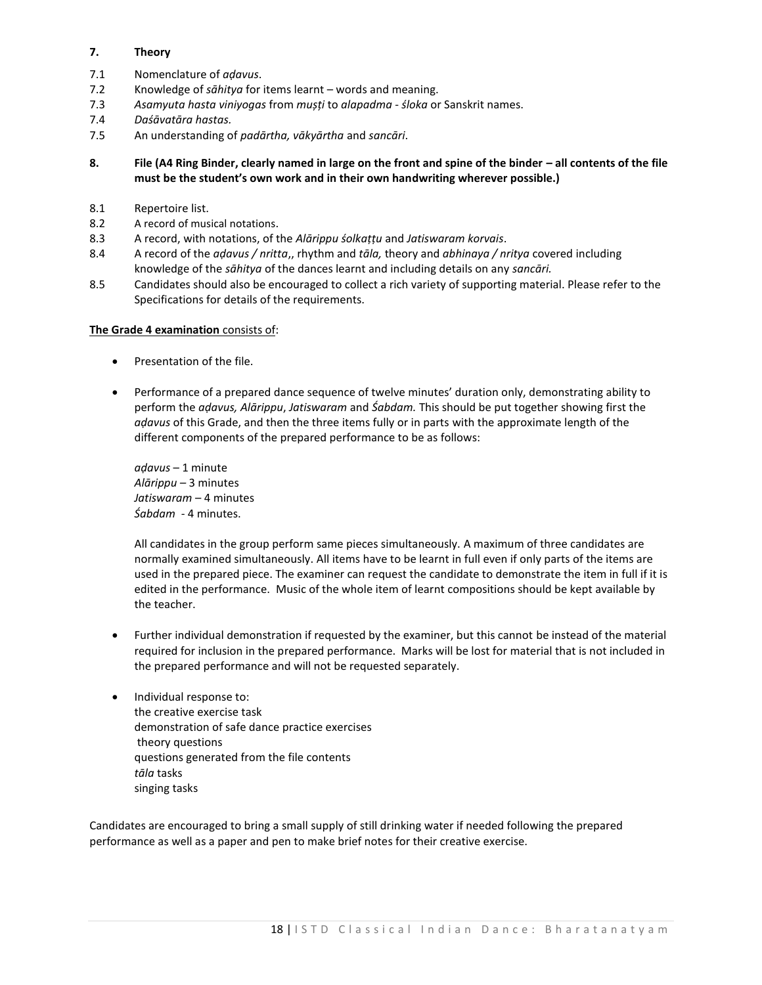# **7. Theory**

- 7.1 Nomenclature of *aḍavus*.
- 7.2 Knowledge of *sāhitya* for items learnt words and meaning.
- 7.3 *Asamyuta hasta viniyogas* from *mușți* to *alapadma śloka* or Sanskrit names.
- 7.4 *Daśāvatāra hastas.*
- 7.5 An understanding of *padārtha, vākyārtha* and *sancāri*.

**8. File (A4 Ring Binder, clearly named in large on the front and spine of the binder – all contents of the file must be the student's own work and in their own handwriting wherever possible.)**

- 8.1 Repertoire list.
- 8.2 A record of musical notations.
- 8.3 A record, with notations, of the *Alārippu śolkaṭṭu* and *Jatiswaram korvais*.
- 8.4 A record of the *aḍavus / nritta*,, rhythm and *tāla,* theory and *abhinaya / nritya* covered including knowledge of the *sāhitya* of the dances learnt and including details on any *sancāri.*
- 8.5 Candidates should also be encouraged to collect a rich variety of supporting material. Please refer to the Specifications for details of the requirements.

## **The Grade 4 examination** consists of:

- Presentation of the file.
- Performance of a prepared dance sequence of twelve minutes' duration only, demonstrating ability to perform the *aḍavus, Alārippu*, *Jatiswaram* and *Śabdam.* This should be put together showing first the *aḍavus* of this Grade, and then the three items fully or in parts with the approximate length of the different components of the prepared performance to be as follows:

*aḍavus* – 1 minute *Alārippu –* 3 minutes *Jatiswaram* – 4 minutes *Śabdam* - 4 minutes.

All candidates in the group perform same pieces simultaneously. A maximum of three candidates are normally examined simultaneously. All items have to be learnt in full even if only parts of the items are used in the prepared piece. The examiner can request the candidate to demonstrate the item in full if it is edited in the performance. Music of the whole item of learnt compositions should be kept available by the teacher.

- Further individual demonstration if requested by the examiner, but this cannot be instead of the material required for inclusion in the prepared performance. Marks will be lost for material that is not included in the prepared performance and will not be requested separately.
- Individual response to: the creative exercise task demonstration of safe dance practice exercises theory questions questions generated from the file contents *tāla* tasks singing tasks

Candidates are encouraged to bring a small supply of still drinking water if needed following the prepared performance as well as a paper and pen to make brief notes for their creative exercise.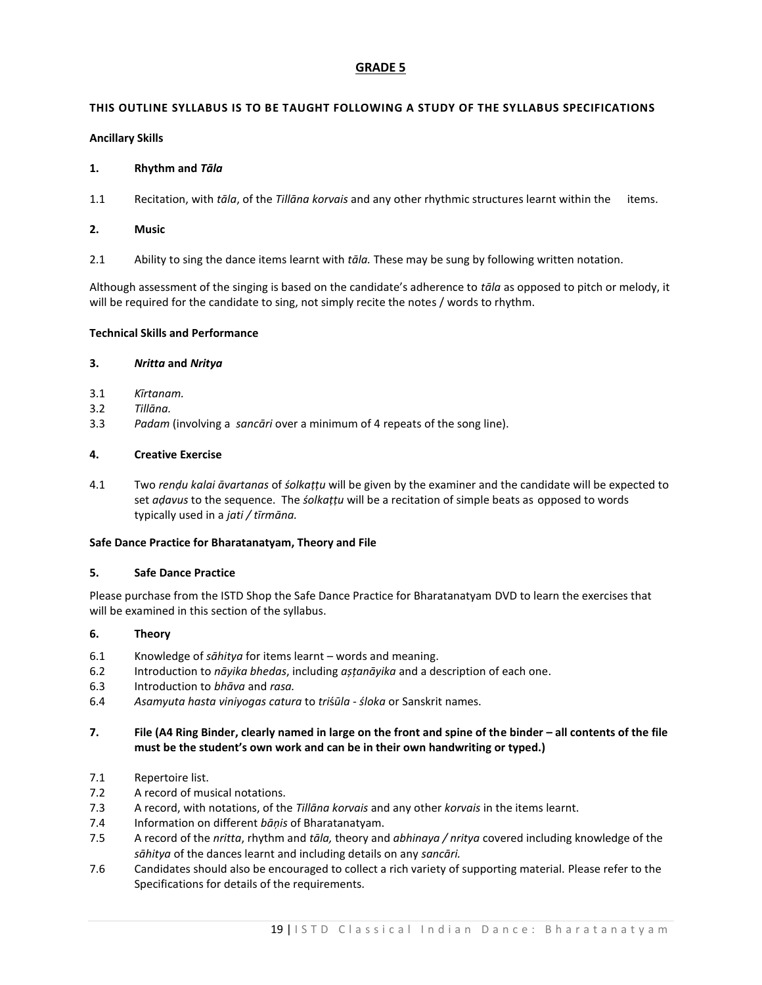# **GRADE 5**

# **THIS OUTLINE SYLLABUS IS TO BE TAUGHT FOLLOWING A STUDY OF THE SYLLABUS SPECIFICATIONS**

# **Ancillary Skills**

# **1. Rhythm and** *Tāla*

1.1 Recitation, with *tāla*, of the *Tillāna korvais* and any other rhythmic structures learnt within the items.

# **2. Music**

2.1 Ability to sing the dance items learnt with *tāla.* These may be sung by following written notation.

Although assessment of the singing is based on the candidate's adherence to *tāla* as opposed to pitch or melody, it will be required for the candidate to sing, not simply recite the notes / words to rhythm.

# **Technical Skills and Performance**

# **3.** *Nritta* **and** *Nritya*

- 3.1 *Kīrtanam.*
- 3.2 *Tillāna.*
- 3.3 *Padam* (involving a *sancāri* over a minimum of 4 repeats of the song line).

# **4. Creative Exercise**

4.1 Two *renḍu kalai āvartanas* of *śolkaṭṭu* will be given by the examiner and the candidate will be expected to set *aḍavus* to the sequence. The *śolkaṭṭu* will be a recitation of simple beats as opposed to words typically used in a *jati / tīrmāna.*

# **Safe Dance Practice for Bharatanatyam, Theory and File**

## **5. Safe Dance Practice**

Please purchase from the ISTD Shop the Safe Dance Practice for Bharatanatyam DVD to learn the exercises that will be examined in this section of the syllabus.

# **6. Theory**

- 6.1 Knowledge of *sāhitya* for items learnt words and meaning.
- 6.2 Introduction to *nāyika bhedas*, including *așțanāyika* and a description of each one.
- 6.3 Introduction to *bhāva* and *rasa.*
- 6.4 *Asamyuta hasta viniyogas catura* to *tri*ś*ūla - śloka* or Sanskrit names.

# **7. File (A4 Ring Binder, clearly named in large on the front and spine of the binder – all contents of the file must be the student's own work and can be in their own handwriting or typed.)**

- 7.1 Repertoire list.
- 7.2 A record of musical notations.
- 7.3 A record, with notations, of the *Tillāna korvais* and any other *korvais* in the items learnt.
- 7.4 Information on different *bāņis* of Bharatanatyam.
- 7.5 A record of the *nritta*, rhythm and *tāla,* theory and *abhinaya / nritya* covered including knowledge of the *sāhitya* of the dances learnt and including details on any *sancāri.*
- 7.6 Candidates should also be encouraged to collect a rich variety of supporting material. Please refer to the Specifications for details of the requirements.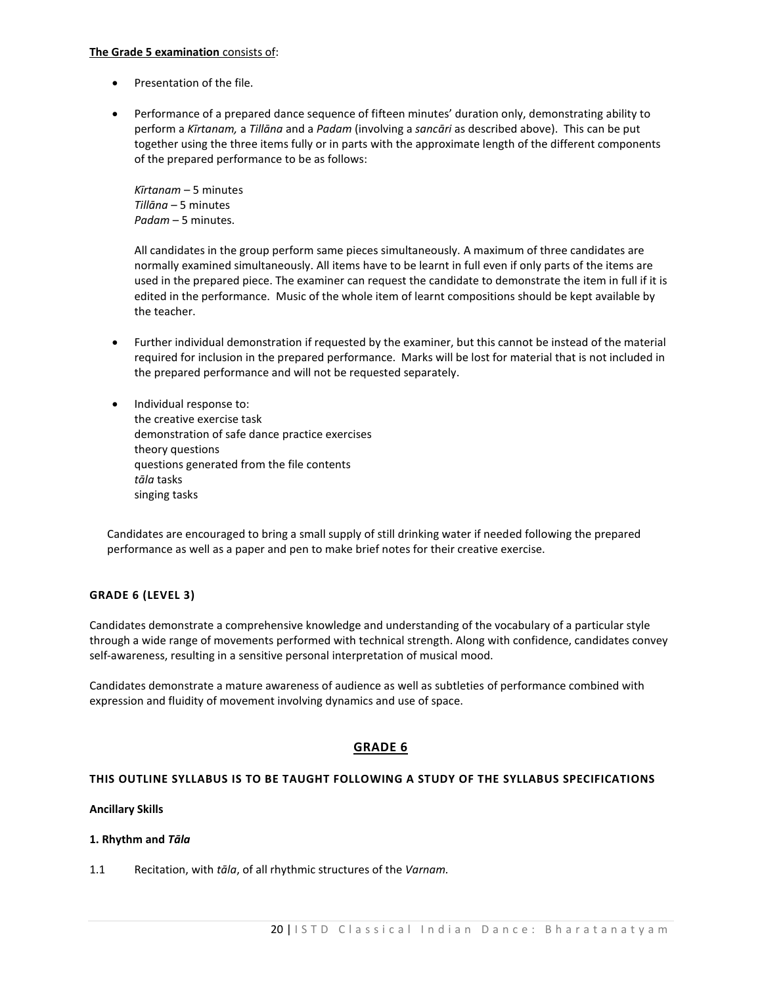# **The Grade 5 examination** consists of:

- Presentation of the file.
- Performance of a prepared dance sequence of fifteen minutes' duration only, demonstrating ability to perform a *Kīrtanam,* a *Tillāna* and a *Padam* (involving a *sancāri* as described above). This can be put together using the three items fully or in parts with the approximate length of the different components of the prepared performance to be as follows:

*Kīrtanam* – 5 minutes *Tillāna* – 5 minutes *Padam* – 5 minutes.

All candidates in the group perform same pieces simultaneously. A maximum of three candidates are normally examined simultaneously. All items have to be learnt in full even if only parts of the items are used in the prepared piece. The examiner can request the candidate to demonstrate the item in full if it is edited in the performance. Music of the whole item of learnt compositions should be kept available by the teacher.

- Further individual demonstration if requested by the examiner, but this cannot be instead of the material required for inclusion in the prepared performance. Marks will be lost for material that is not included in the prepared performance and will not be requested separately.
- Individual response to: the creative exercise task demonstration of safe dance practice exercises theory questions questions generated from the file contents *tāla* tasks singing tasks

Candidates are encouraged to bring a small supply of still drinking water if needed following the prepared performance as well as a paper and pen to make brief notes for their creative exercise.

# **GRADE 6 (LEVEL 3)**

Candidates demonstrate a comprehensive knowledge and understanding of the vocabulary of a particular style through a wide range of movements performed with technical strength. Along with confidence, candidates convey self-awareness, resulting in a sensitive personal interpretation of musical mood.

Candidates demonstrate a mature awareness of audience as well as subtleties of performance combined with expression and fluidity of movement involving dynamics and use of space.

# **GRADE 6**

# **THIS OUTLINE SYLLABUS IS TO BE TAUGHT FOLLOWING A STUDY OF THE SYLLABUS SPECIFICATIONS**

## **Ancillary Skills**

## **1. Rhythm and** *Tāla*

1.1 Recitation, with *tāla*, of all rhythmic structures of the *Varnam.*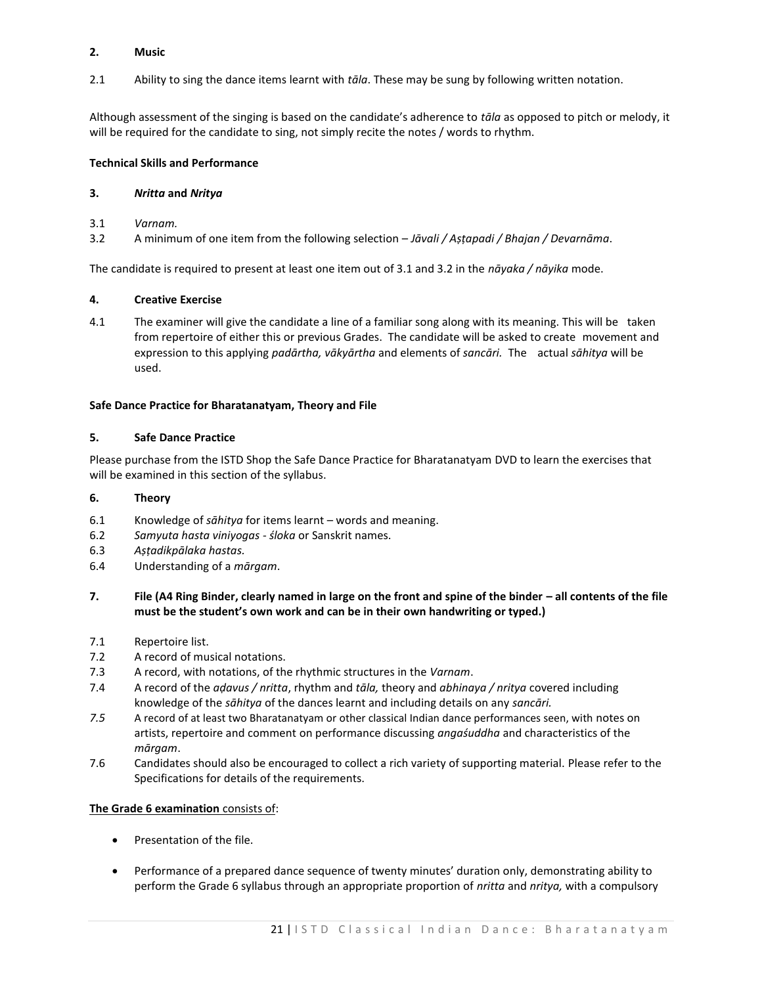# **2. Music**

2.1 Ability to sing the dance items learnt with *tāla*. These may be sung by following written notation.

Although assessment of the singing is based on the candidate's adherence to *tāla* as opposed to pitch or melody, it will be required for the candidate to sing, not simply recite the notes / words to rhythm.

# **Technical Skills and Performance**

# **3.** *Nritta* **and** *Nritya*

- 3.1 *Varnam.*
- 3.2 A minimum of one item from the following selection *Jāvali / Aṣṭapadi / Bhajan / Devarnāma*.

The candidate is required to present at least one item out of 3.1 and 3.2 in the *nāyaka / nāyika* mode.

# **4. Creative Exercise**

4.1 The examiner will give the candidate a line of a familiar song along with its meaning. This will be taken from repertoire of either this or previous Grades. The candidate will be asked to create movement and expression to this applying *padārtha, vākyārtha* and elements of *sancāri.* The actual *sāhitya* will be used.

# **Safe Dance Practice for Bharatanatyam, Theory and File**

# **5. Safe Dance Practice**

Please purchase from the ISTD Shop the Safe Dance Practice for Bharatanatyam DVD to learn the exercises that will be examined in this section of the syllabus.

# **6. Theory**

- 6.1 Knowledge of *sāhitya* for items learnt words and meaning.
- 6.2 *Samyuta hasta viniyogas śloka* or Sanskrit names.
- 6.3 *Aṣṭadikpālaka hastas.*
- 6.4 Understanding of a *mārgam*.

# **7. File (A4 Ring Binder, clearly named in large on the front and spine of the binder – all contents of the file must be the student's own work and can be in their own handwriting or typed.)**

- 7.1 Repertoire list.
- 7.2 A record of musical notations.
- 7.3 A record, with notations, of the rhythmic structures in the *Varnam*.
- 7.4 A record of the *aḍavus / nritta*, rhythm and *tāla,* theory and *abhinaya / nritya* covered including knowledge of the *sāhitya* of the dances learnt and including details on any *sancāri.*
- *7.5* A record of at least two Bharatanatyam or other classical Indian dance performances seen, with notes on artists, repertoire and comment on performance discussing *angaśuddha* and characteristics of the *mārgam*.
- 7.6 Candidates should also be encouraged to collect a rich variety of supporting material. Please refer to the Specifications for details of the requirements.

# **The Grade 6 examination** consists of:

- Presentation of the file.
- Performance of a prepared dance sequence of twenty minutes' duration only, demonstrating ability to perform the Grade 6 syllabus through an appropriate proportion of *nritta* and *nritya,* with a compulsory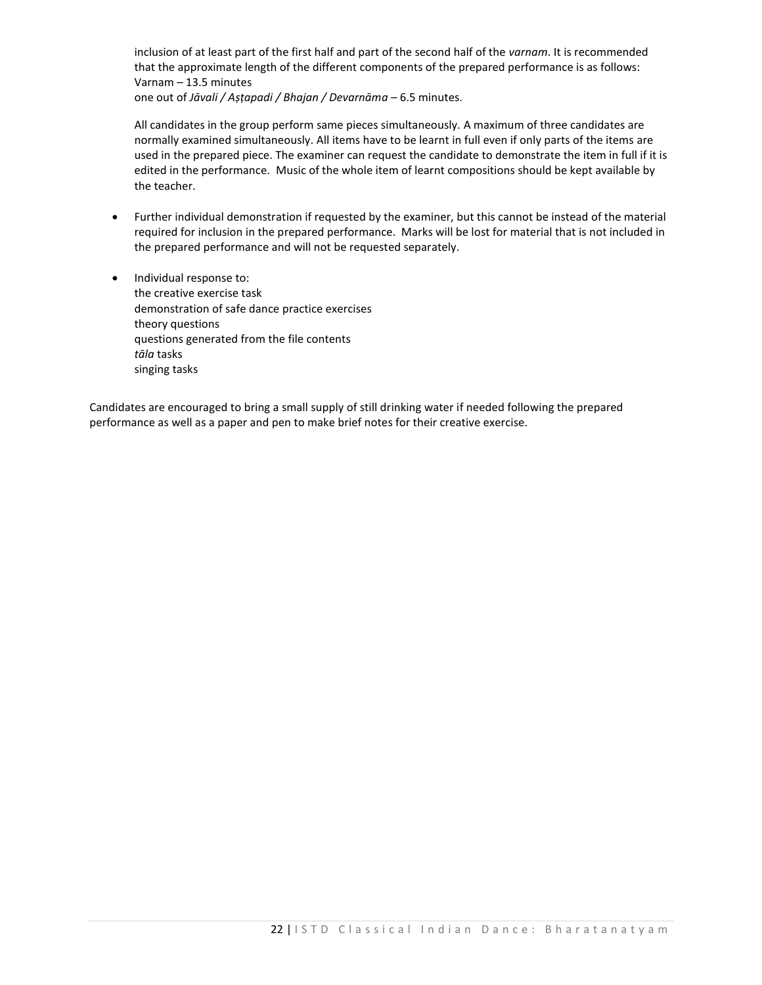inclusion of at least part of the first half and part of the second half of the *varnam*. It is recommended that the approximate length of the different components of the prepared performance is as follows: Varnam – 13.5 minutes

one out of *Jāvali / Aṣṭapadi / Bhajan / Devarnāma* – 6.5 minutes.

All candidates in the group perform same pieces simultaneously. A maximum of three candidates are normally examined simultaneously. All items have to be learnt in full even if only parts of the items are used in the prepared piece. The examiner can request the candidate to demonstrate the item in full if it is edited in the performance. Music of the whole item of learnt compositions should be kept available by the teacher.

- Further individual demonstration if requested by the examiner, but this cannot be instead of the material required for inclusion in the prepared performance. Marks will be lost for material that is not included in the prepared performance and will not be requested separately.
- Individual response to: the creative exercise task demonstration of safe dance practice exercises theory questions questions generated from the file contents *tāla* tasks singing tasks

Candidates are encouraged to bring a small supply of still drinking water if needed following the prepared performance as well as a paper and pen to make brief notes for their creative exercise.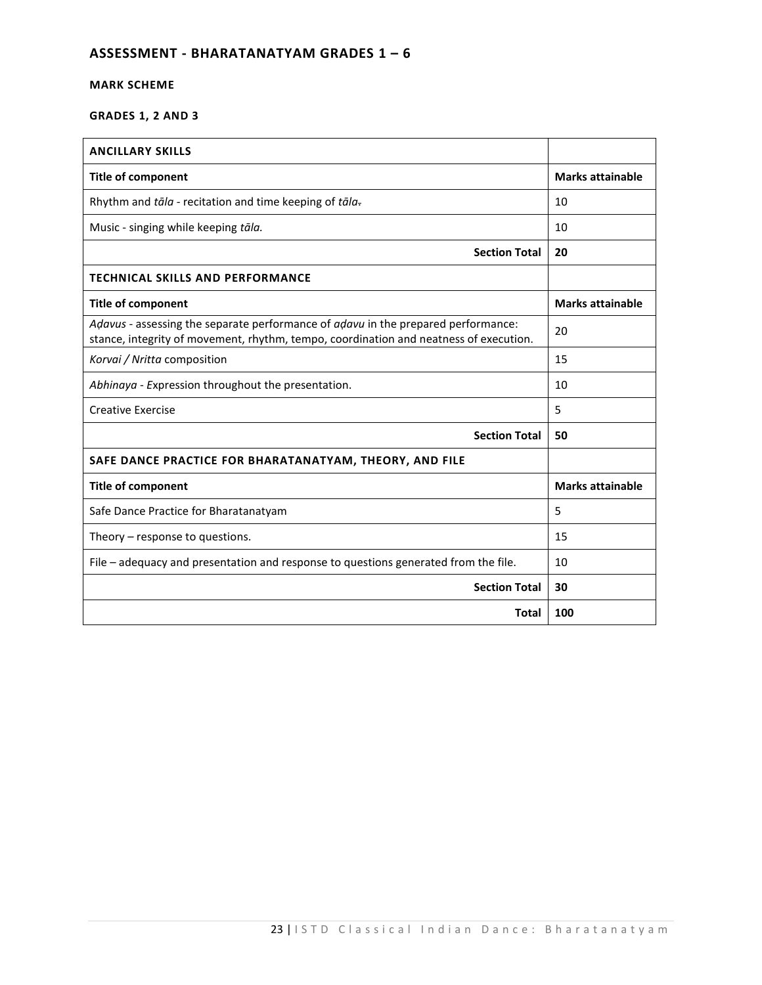# **ASSESSMENT - BHARATANATYAM GRADES 1 – 6**

# **MARK SCHEME**

# **GRADES 1, 2 AND 3**

| <b>ANCILLARY SKILLS</b>                                                                                                                                                    |                         |
|----------------------------------------------------------------------------------------------------------------------------------------------------------------------------|-------------------------|
| <b>Title of component</b>                                                                                                                                                  | <b>Marks attainable</b> |
| Rhythm and tāla - recitation and time keeping of tāla-                                                                                                                     | 10                      |
| Music - singing while keeping tāla.                                                                                                                                        | 10                      |
| <b>Section Total</b>                                                                                                                                                       | 20                      |
| <b>TECHNICAL SKILLS AND PERFORMANCE</b>                                                                                                                                    |                         |
| <b>Title of component</b>                                                                                                                                                  | <b>Marks attainable</b> |
| Adavus - assessing the separate performance of adavu in the prepared performance:<br>stance, integrity of movement, rhythm, tempo, coordination and neatness of execution. | 20                      |
| Korvai / Nritta composition                                                                                                                                                | 15                      |
| Abhinaya - Expression throughout the presentation.                                                                                                                         | 10                      |
| <b>Creative Exercise</b>                                                                                                                                                   | 5                       |
| <b>Section Total</b>                                                                                                                                                       | 50                      |
| SAFE DANCE PRACTICE FOR BHARATANATYAM, THEORY, AND FILE                                                                                                                    |                         |
| <b>Title of component</b>                                                                                                                                                  | <b>Marks attainable</b> |
| Safe Dance Practice for Bharatanatyam                                                                                                                                      | 5                       |
| Theory – response to questions.                                                                                                                                            | 15                      |
| File - adequacy and presentation and response to questions generated from the file.                                                                                        | 10                      |
| <b>Section Total</b>                                                                                                                                                       | 30                      |
| <b>Total</b>                                                                                                                                                               | 100                     |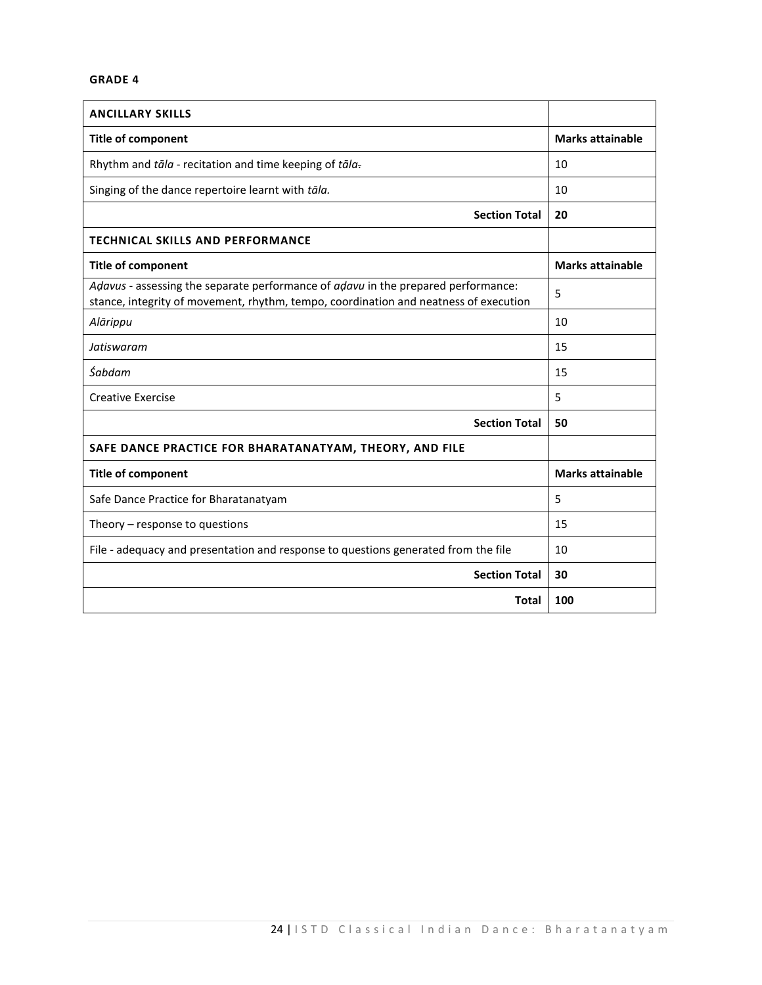# **GRADE 4**

| <b>ANCILLARY SKILLS</b>                                                                                                                                                   |                         |
|---------------------------------------------------------------------------------------------------------------------------------------------------------------------------|-------------------------|
| <b>Title of component</b>                                                                                                                                                 | <b>Marks attainable</b> |
| Rhythm and tāla - recitation and time keeping of tāla-                                                                                                                    | 10                      |
| Singing of the dance repertoire learnt with tāla.                                                                                                                         | 10                      |
| <b>Section Total</b>                                                                                                                                                      | 20                      |
| <b>TECHNICAL SKILLS AND PERFORMANCE</b>                                                                                                                                   |                         |
| <b>Title of component</b>                                                                                                                                                 | <b>Marks attainable</b> |
| Adavus - assessing the separate performance of adavu in the prepared performance:<br>stance, integrity of movement, rhythm, tempo, coordination and neatness of execution | 5                       |
| Alārippu                                                                                                                                                                  | 10                      |
| Jatiswaram                                                                                                                                                                | 15                      |
| Śabdam                                                                                                                                                                    | 15                      |
| <b>Creative Exercise</b>                                                                                                                                                  | 5                       |
| <b>Section Total</b>                                                                                                                                                      | 50                      |
| SAFE DANCE PRACTICE FOR BHARATANATYAM, THEORY, AND FILE                                                                                                                   |                         |
| <b>Title of component</b>                                                                                                                                                 | <b>Marks attainable</b> |
| Safe Dance Practice for Bharatanatyam                                                                                                                                     | 5                       |
| Theory – response to questions                                                                                                                                            | 15                      |
| File - adequacy and presentation and response to questions generated from the file                                                                                        | 10                      |
| <b>Section Total</b>                                                                                                                                                      | 30                      |
| <b>Total</b>                                                                                                                                                              | 100                     |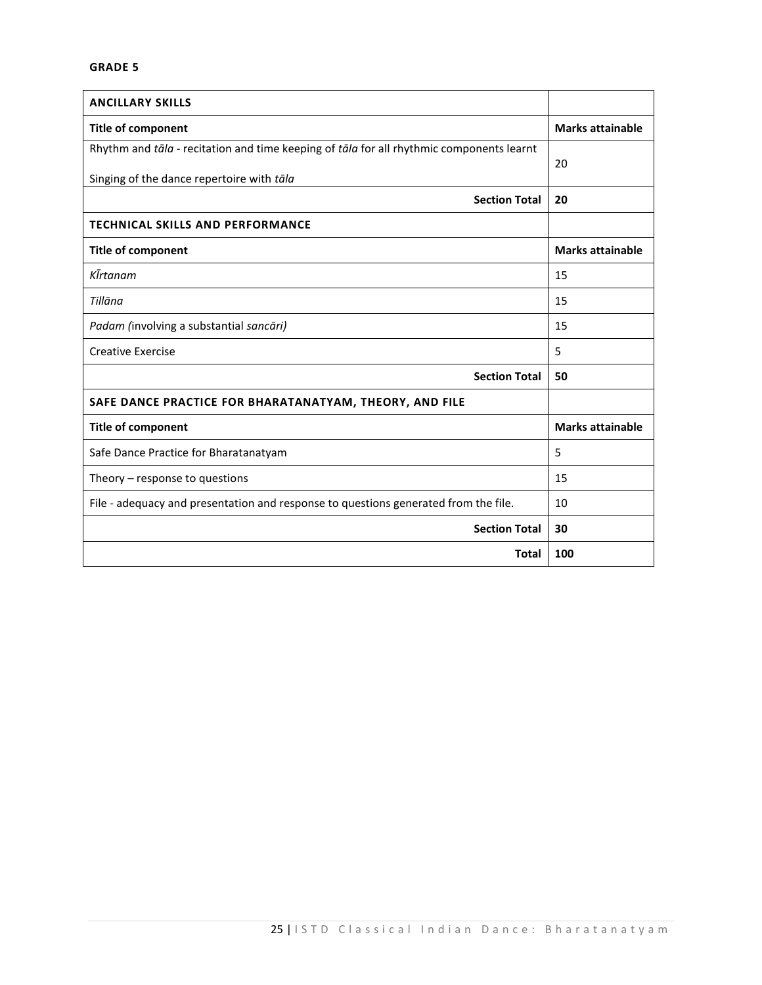| <b>ANCILLARY SKILLS</b>                                                                  |                         |
|------------------------------------------------------------------------------------------|-------------------------|
| <b>Title of component</b>                                                                | <b>Marks attainable</b> |
| Rhythm and tāla - recitation and time keeping of tāla for all rhythmic components learnt | 20                      |
| Singing of the dance repertoire with tāla                                                |                         |
| <b>Section Total</b>                                                                     | 20                      |
| <b>TECHNICAL SKILLS AND PERFORMANCE</b>                                                  |                         |
| <b>Title of component</b>                                                                | <b>Marks attainable</b> |
| KĪrtanam                                                                                 | 15                      |
| Tillāna                                                                                  | 15                      |
| Padam (involving a substantial sancāri)                                                  | 15                      |
| <b>Creative Exercise</b>                                                                 | 5                       |
| <b>Section Total</b>                                                                     | 50                      |
| SAFE DANCE PRACTICE FOR BHARATANATYAM, THEORY, AND FILE                                  |                         |
| <b>Title of component</b>                                                                | <b>Marks attainable</b> |
| Safe Dance Practice for Bharatanatyam                                                    | 5                       |
| Theory - response to questions                                                           | 15                      |
| File - adequacy and presentation and response to questions generated from the file.      | 10                      |
| <b>Section Total</b>                                                                     | 30                      |
| <b>Total</b>                                                                             | 100                     |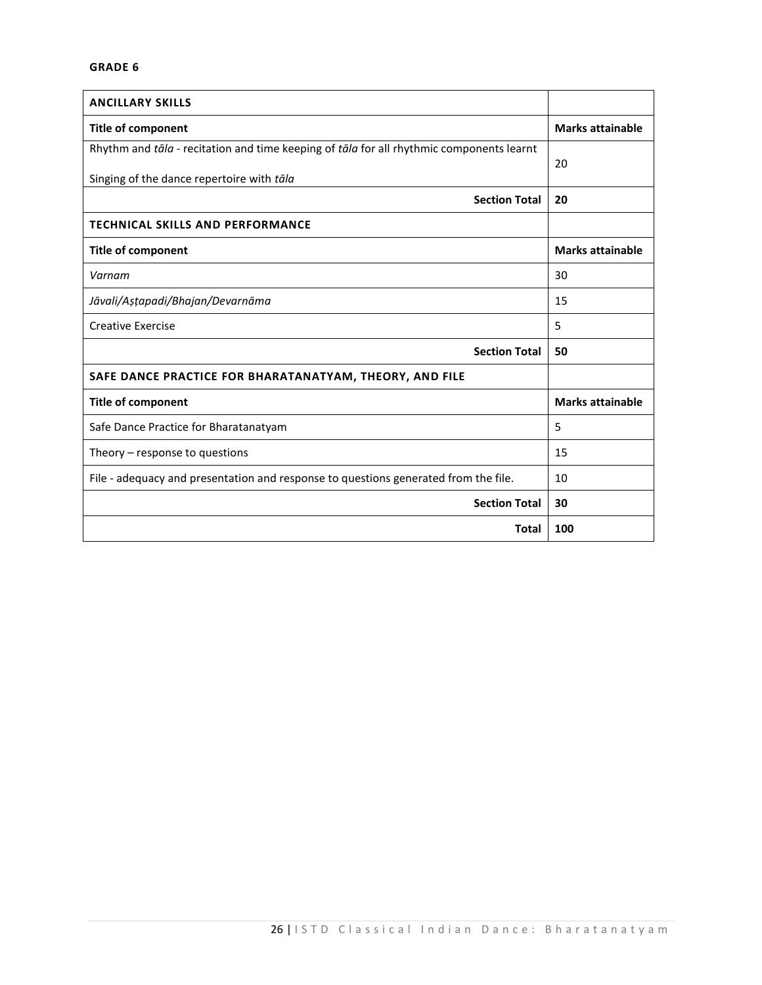| <b>ANCILLARY SKILLS</b>                                                                  |                         |
|------------------------------------------------------------------------------------------|-------------------------|
| <b>Title of component</b>                                                                | <b>Marks attainable</b> |
| Rhythm and tāla - recitation and time keeping of tāla for all rhythmic components learnt | 20                      |
| Singing of the dance repertoire with tāla                                                |                         |
| <b>Section Total</b>                                                                     | 20                      |
| <b>TECHNICAL SKILLS AND PERFORMANCE</b>                                                  |                         |
| <b>Title of component</b>                                                                | <b>Marks attainable</b> |
| Varnam                                                                                   | 30                      |
| Jāvali/Astapadi/Bhajan/Devarnāma                                                         | 15                      |
| <b>Creative Exercise</b>                                                                 | 5                       |
| <b>Section Total</b>                                                                     | 50                      |
| SAFE DANCE PRACTICE FOR BHARATANATYAM, THEORY, AND FILE                                  |                         |
| <b>Title of component</b>                                                                | <b>Marks attainable</b> |
| Safe Dance Practice for Bharatanatyam                                                    | 5                       |
| Theory $-$ response to questions                                                         | 15                      |
| File - adequacy and presentation and response to questions generated from the file.      | 10                      |
| <b>Section Total</b>                                                                     | 30                      |
| Total                                                                                    | 100                     |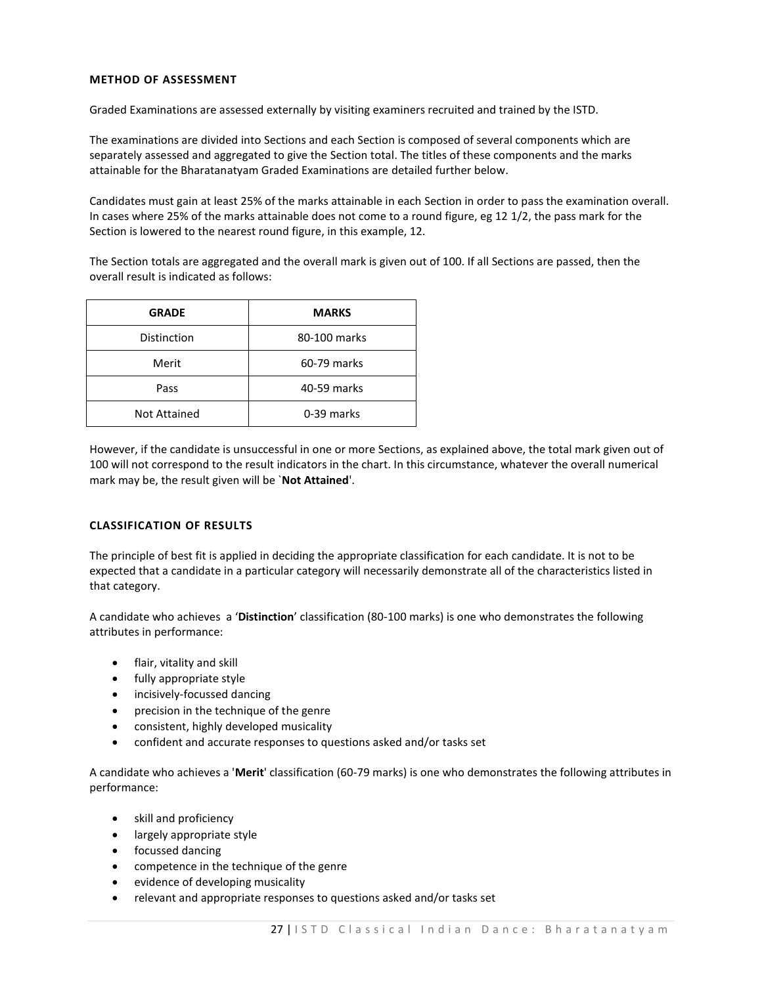# **METHOD OF ASSESSMENT**

Graded Examinations are assessed externally by visiting examiners recruited and trained by the ISTD.

The examinations are divided into Sections and each Section is composed of several components which are separately assessed and aggregated to give the Section total. The titles of these components and the marks attainable for the Bharatanatyam Graded Examinations are detailed further below.

Candidates must gain at least 25% of the marks attainable in each Section in order to pass the examination overall. In cases where 25% of the marks attainable does not come to a round figure, eg 12 1/2, the pass mark for the Section is lowered to the nearest round figure, in this example, 12.

The Section totals are aggregated and the overall mark is given out of 100. If all Sections are passed, then the overall result is indicated as follows:

| <b>GRADE</b>        | <b>MARKS</b> |  |
|---------------------|--------------|--|
| Distinction         | 80-100 marks |  |
| Merit               | 60-79 marks  |  |
| Pass                | 40-59 marks  |  |
| <b>Not Attained</b> | 0-39 marks   |  |

However, if the candidate is unsuccessful in one or more Sections, as explained above, the total mark given out of 100 will not correspond to the result indicators in the chart. In this circumstance, whatever the overall numerical mark may be, the result given will be `**Not Attained**'.

# **CLASSIFICATION OF RESULTS**

The principle of best fit is applied in deciding the appropriate classification for each candidate. It is not to be expected that a candidate in a particular category will necessarily demonstrate all of the characteristics listed in that category.

A candidate who achieves a '**Distinction**' classification (80-100 marks) is one who demonstrates the following attributes in performance:

- flair, vitality and skill
- fully appropriate style
- incisively-focussed dancing
- precision in the technique of the genre
- consistent, highly developed musicality
- confident and accurate responses to questions asked and/or tasks set

A candidate who achieves a '**Merit**' classification (60-79 marks) is one who demonstrates the following attributes in performance:

- skill and proficiency
- largely appropriate style
- **•** focussed dancing
- competence in the technique of the genre
- evidence of developing musicality
- relevant and appropriate responses to questions asked and/or tasks set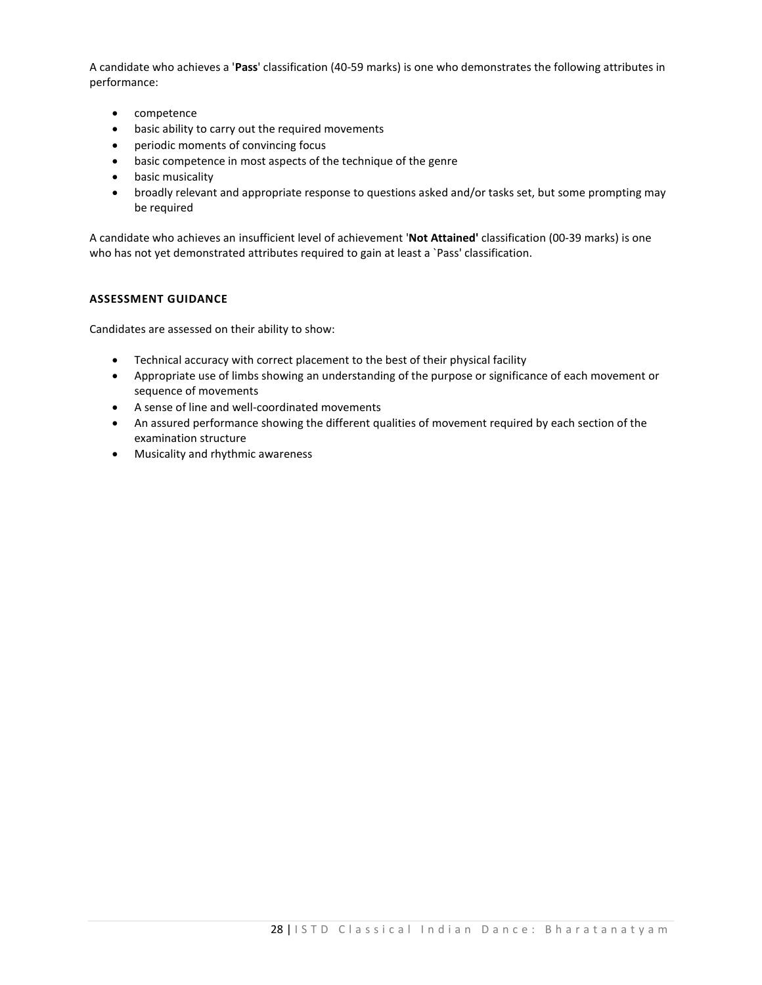A candidate who achieves a '**Pass**' classification (40-59 marks) is one who demonstrates the following attributes in performance:

- competence
- basic ability to carry out the required movements
- periodic moments of convincing focus
- basic competence in most aspects of the technique of the genre
- basic musicality
- broadly relevant and appropriate response to questions asked and/or tasks set, but some prompting may be required

A candidate who achieves an insufficient level of achievement '**Not Attained'** classification (00-39 marks) is one who has not yet demonstrated attributes required to gain at least a `Pass' classification.

## **ASSESSMENT GUIDANCE**

Candidates are assessed on their ability to show:

- Technical accuracy with correct placement to the best of their physical facility
- Appropriate use of limbs showing an understanding of the purpose or significance of each movement or sequence of movements
- A sense of line and well-coordinated movements
- An assured performance showing the different qualities of movement required by each section of the examination structure
- Musicality and rhythmic awareness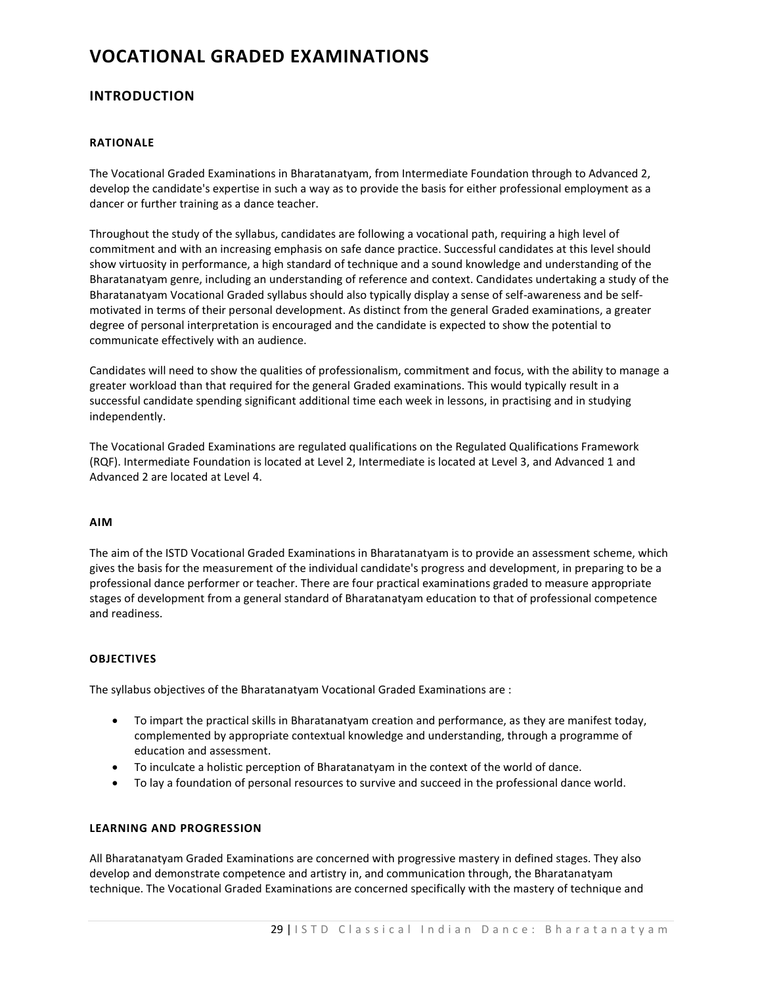# **VOCATIONAL GRADED EXAMINATIONS**

# **INTRODUCTION**

# **RATIONALE**

The Vocational Graded Examinations in Bharatanatyam, from Intermediate Foundation through to Advanced 2, develop the candidate's expertise in such a way as to provide the basis for either professional employment as a dancer or further training as a dance teacher.

Throughout the study of the syllabus, candidates are following a vocational path, requiring a high level of commitment and with an increasing emphasis on safe dance practice. Successful candidates at this level should show virtuosity in performance, a high standard of technique and a sound knowledge and understanding of the Bharatanatyam genre, including an understanding of reference and context. Candidates undertaking a study of the Bharatanatyam Vocational Graded syllabus should also typically display a sense of self-awareness and be selfmotivated in terms of their personal development. As distinct from the general Graded examinations, a greater degree of personal interpretation is encouraged and the candidate is expected to show the potential to communicate effectively with an audience.

Candidates will need to show the qualities of professionalism, commitment and focus, with the ability to manage a greater workload than that required for the general Graded examinations. This would typically result in a successful candidate spending significant additional time each week in lessons, in practising and in studying independently.

The Vocational Graded Examinations are regulated qualifications on the Regulated Qualifications Framework (RQF). Intermediate Foundation is located at Level 2, Intermediate is located at Level 3, and Advanced 1 and Advanced 2 are located at Level 4.

# **AIM**

The aim of the ISTD Vocational Graded Examinations in Bharatanatyam is to provide an assessment scheme, which gives the basis for the measurement of the individual candidate's progress and development, in preparing to be a professional dance performer or teacher. There are four practical examinations graded to measure appropriate stages of development from a general standard of Bharatanatyam education to that of professional competence and readiness.

## **OBJECTIVES**

The syllabus objectives of the Bharatanatyam Vocational Graded Examinations are :

- To impart the practical skills in Bharatanatyam creation and performance, as they are manifest today, complemented by appropriate contextual knowledge and understanding, through a programme of education and assessment.
- To inculcate a holistic perception of Bharatanatyam in the context of the world of dance.
- To lay a foundation of personal resources to survive and succeed in the professional dance world.

# **LEARNING AND PROGRESSION**

All Bharatanatyam Graded Examinations are concerned with progressive mastery in defined stages. They also develop and demonstrate competence and artistry in, and communication through, the Bharatanatyam technique. The Vocational Graded Examinations are concerned specifically with the mastery of technique and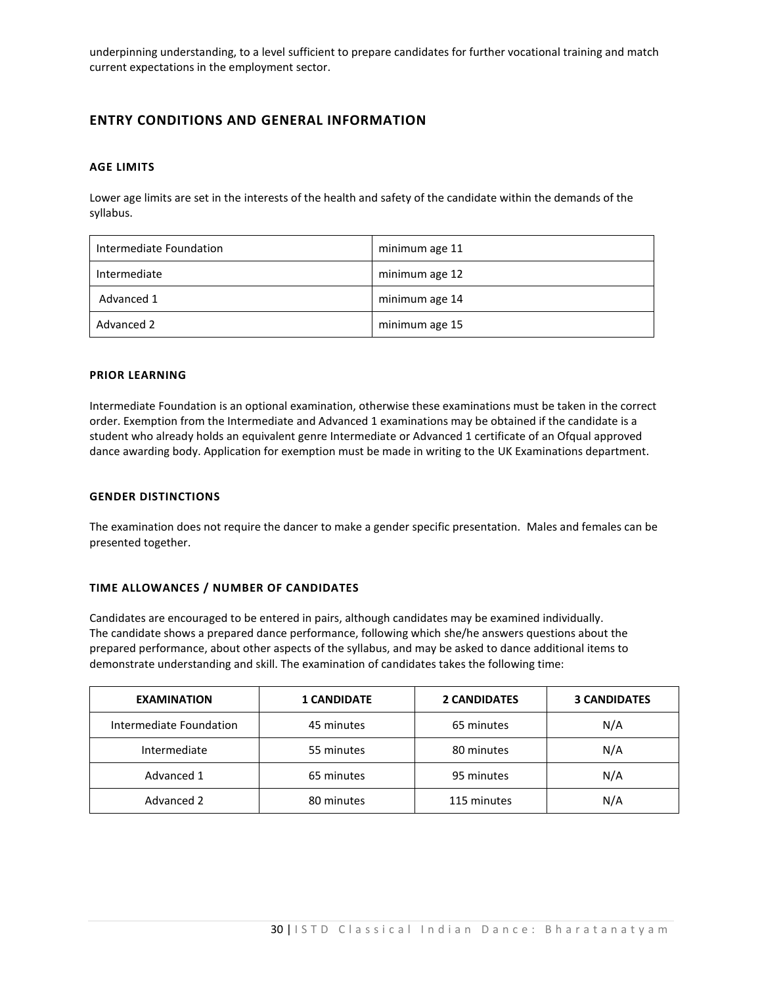underpinning understanding, to a level sufficient to prepare candidates for further vocational training and match current expectations in the employment sector.

# **ENTRY CONDITIONS AND GENERAL INFORMATION**

# **AGE LIMITS**

Lower age limits are set in the interests of the health and safety of the candidate within the demands of the syllabus.

| Intermediate Foundation | minimum age 11 |
|-------------------------|----------------|
| Intermediate            | minimum age 12 |
| Advanced 1              | minimum age 14 |
| Advanced 2              | minimum age 15 |

# **PRIOR LEARNING**

Intermediate Foundation is an optional examination, otherwise these examinations must be taken in the correct order. Exemption from the Intermediate and Advanced 1 examinations may be obtained if the candidate is a student who already holds an equivalent genre Intermediate or Advanced 1 certificate of an Ofqual approved dance awarding body. Application for exemption must be made in writing to the UK Examinations department.

# **GENDER DISTINCTIONS**

The examination does not require the dancer to make a gender specific presentation. Males and females can be presented together.

# **TIME ALLOWANCES / NUMBER OF CANDIDATES**

Candidates are encouraged to be entered in pairs, although candidates may be examined individually. The candidate shows a prepared dance performance, following which she/he answers questions about the prepared performance, about other aspects of the syllabus, and may be asked to dance additional items to demonstrate understanding and skill. The examination of candidates takes the following time:

| <b>EXAMINATION</b>      | <b>1 CANDIDATE</b> | <b>2 CANDIDATES</b> | <b>3 CANDIDATES</b> |
|-------------------------|--------------------|---------------------|---------------------|
| Intermediate Foundation | 45 minutes         | 65 minutes          | N/A                 |
| Intermediate            | 55 minutes         | 80 minutes          | N/A                 |
| Advanced 1              | 65 minutes         | 95 minutes          | N/A                 |
| Advanced 2              | 80 minutes         | 115 minutes         | N/A                 |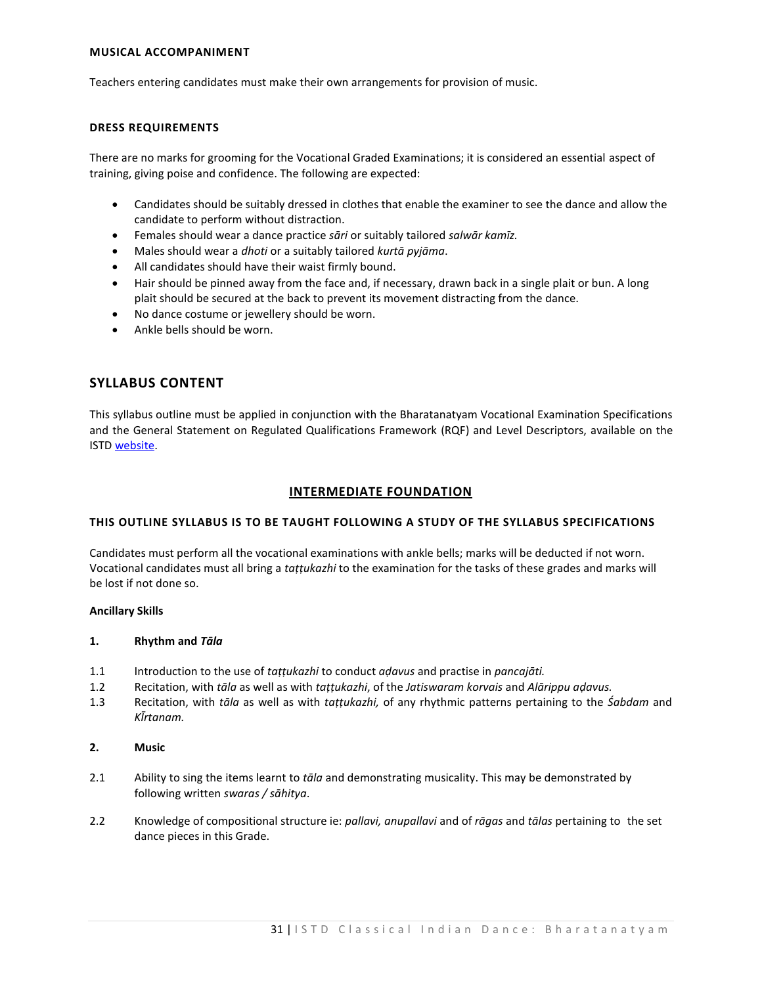# **MUSICAL ACCOMPANIMENT**

Teachers entering candidates must make their own arrangements for provision of music.

# **DRESS REQUIREMENTS**

There are no marks for grooming for the Vocational Graded Examinations; it is considered an essential aspect of training, giving poise and confidence. The following are expected:

- Candidates should be suitably dressed in clothes that enable the examiner to see the dance and allow the candidate to perform without distraction.
- Females should wear a dance practice *sāri* or suitably tailored *salwār kamīz.*
- Males should wear a *dhoti* or a suitably tailored *kurtā pyjāma*.
- All candidates should have their waist firmly bound.
- Hair should be pinned away from the face and, if necessary, drawn back in a single plait or bun. A long plait should be secured at the back to prevent its movement distracting from the dance.
- No dance costume or jewellery should be worn.
- Ankle bells should be worn.

# **SYLLABUS CONTENT**

This syllabus outline must be applied in conjunction with the Bharatanatyam Vocational Examination Specifications and the General Statement on Regulated Qualifications Framework (RQF) and Level Descriptors, available on the IST[D website.](https://www.istd.org/about-us/documents/regulated-qualifications-framework-and-level-descriptors/)

# **INTERMEDIATE FOUNDATION**

## **THIS OUTLINE SYLLABUS IS TO BE TAUGHT FOLLOWING A STUDY OF THE SYLLABUS SPECIFICATIONS**

Candidates must perform all the vocational examinations with ankle bells; marks will be deducted if not worn. Vocational candidates must all bring a *taṭṭukazhi* to the examination for the tasks of these grades and marks will be lost if not done so.

## **Ancillary Skills**

## **1. Rhythm and** *Tāla*

- 1.1 Introduction to the use of *taṭṭukazhi* to conduct *aḍavus* and practise in *pancajāti.*
- 1.2 Recitation, with *tāla* as well as with *taṭṭukazhi*, of the *Jatiswaram korvais* and *Alārippu aḍavus.*
- 1.3 Recitation, with *tāla* as well as with *taṭṭukazhi,* of any rhythmic patterns pertaining to the *Śabdam* and *KĪrtanam.*

# **2. Music**

- 2.1 Ability to sing the items learnt to *tāla* and demonstrating musicality. This may be demonstrated by following written *swaras / sāhitya*.
- 2.2 Knowledge of compositional structure ie: *pallavi, anupallavi* and of *rāgas* and *tālas* pertaining to the set dance pieces in this Grade.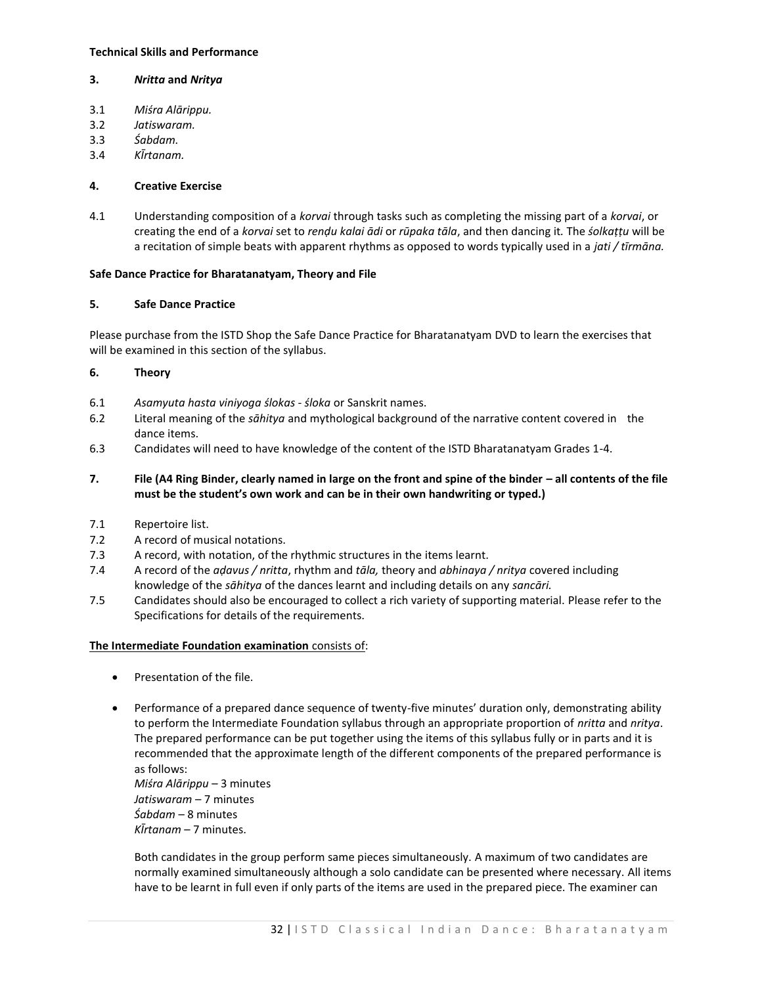# **Technical Skills and Performance**

# **3.** *Nritta* **and** *Nritya*

- 3.1 *Miśra Alārippu.*
- 3.2 *Jatiswaram.*
- 3.3 *Śabdam.*
- 3.4 *KĪrtanam.*

# **4. Creative Exercise**

4.1 Understanding composition of a *korvai* through tasks such as completing the missing part of a *korvai*, or creating the end of a *korvai* set to *renḍu kalai ādi* or *rūpaka tāla*, and then dancing it*.* The *śolkaṭṭu* will be a recitation of simple beats with apparent rhythms as opposed to words typically used in a *jati / tīrmāna.*

# **Safe Dance Practice for Bharatanatyam, Theory and File**

# **5. Safe Dance Practice**

Please purchase from the ISTD Shop the Safe Dance Practice for Bharatanatyam DVD to learn the exercises that will be examined in this section of the syllabus.

# **6. Theory**

- 6.1 *Asamyuta hasta viniyoga ślokas śloka* or Sanskrit names.
- 6.2 Literal meaning of the *sāhitya* and mythological background of the narrative content covered in the dance items.
- 6.3 Candidates will need to have knowledge of the content of the ISTD Bharatanatyam Grades 1-4.
- **7. File (A4 Ring Binder, clearly named in large on the front and spine of the binder – all contents of the file must be the student's own work and can be in their own handwriting or typed.)**
- 7.1 Repertoire list.
- 7.2 A record of musical notations.
- 7.3 A record, with notation, of the rhythmic structures in the items learnt.
- 7.4 A record of the *aḍavus / nritta*, rhythm and *tāla,* theory and *abhinaya / nritya* covered including knowledge of the *sāhitya* of the dances learnt and including details on any *sancāri.*
- 7.5 Candidates should also be encouraged to collect a rich variety of supporting material. Please refer to the Specifications for details of the requirements.

## **The Intermediate Foundation examination** consists of:

- Presentation of the file.
- Performance of a prepared dance sequence of twenty-five minutes' duration only, demonstrating ability to perform the Intermediate Foundation syllabus through an appropriate proportion of *nritta* and *nritya*. The prepared performance can be put together using the items of this syllabus fully or in parts and it is recommended that the approximate length of the different components of the prepared performance is as follows:

*Miśra Alārippu* – 3 minutes *Jatiswaram* – 7 minutes *Śabdam* – 8 minutes *KĪrtanam* – 7 minutes.

Both candidates in the group perform same pieces simultaneously. A maximum of two candidates are normally examined simultaneously although a solo candidate can be presented where necessary. All items have to be learnt in full even if only parts of the items are used in the prepared piece. The examiner can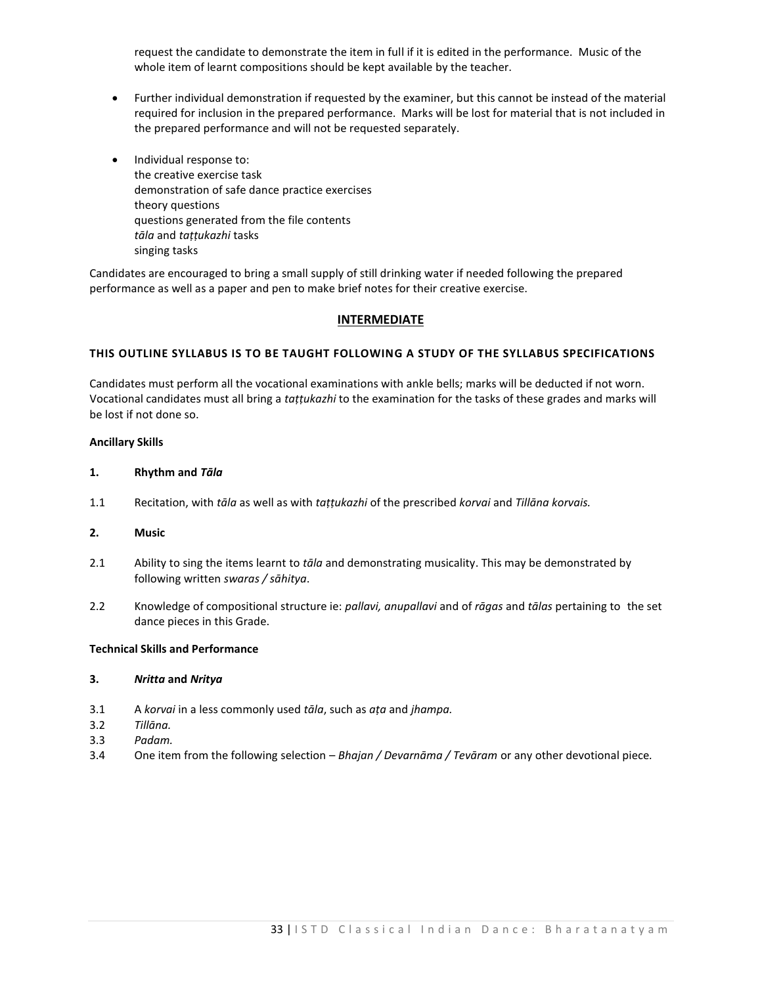request the candidate to demonstrate the item in full if it is edited in the performance. Music of the whole item of learnt compositions should be kept available by the teacher.

- Further individual demonstration if requested by the examiner, but this cannot be instead of the material required for inclusion in the prepared performance. Marks will be lost for material that is not included in the prepared performance and will not be requested separately.
- Individual response to: the creative exercise task demonstration of safe dance practice exercises theory questions questions generated from the file contents *tāla* and *taṭṭukazhi* tasks singing tasks

Candidates are encouraged to bring a small supply of still drinking water if needed following the prepared performance as well as a paper and pen to make brief notes for their creative exercise.

# **INTERMEDIATE**

# **THIS OUTLINE SYLLABUS IS TO BE TAUGHT FOLLOWING A STUDY OF THE SYLLABUS SPECIFICATIONS**

Candidates must perform all the vocational examinations with ankle bells; marks will be deducted if not worn. Vocational candidates must all bring a *taṭṭukazhi* to the examination for the tasks of these grades and marks will be lost if not done so.

## **Ancillary Skills**

#### **1. Rhythm and** *Tāla*

1.1 Recitation, with *tāla* as well as with *taṭṭukazhi* of the prescribed *korvai* and *Tillāna korvais.*

# **2. Music**

- 2.1 Ability to sing the items learnt to *tāla* and demonstrating musicality. This may be demonstrated by following written *swaras / sāhitya*.
- 2.2 Knowledge of compositional structure ie: *pallavi, anupallavi* and of *rāgas* and *tālas* pertaining to the set dance pieces in this Grade.

# **Technical Skills and Performance**

#### **3.** *Nritta* **and** *Nritya*

- 3.1 A *korvai* in a less commonly used *tāla*, such as *aṭa* and *jhampa.*
- 3.2 *Tillāna.*
- 3.3 *Padam.*
- 3.4 One item from the following selection *Bhajan / Devarnāma / Tevāram* or any other devotional piece*.*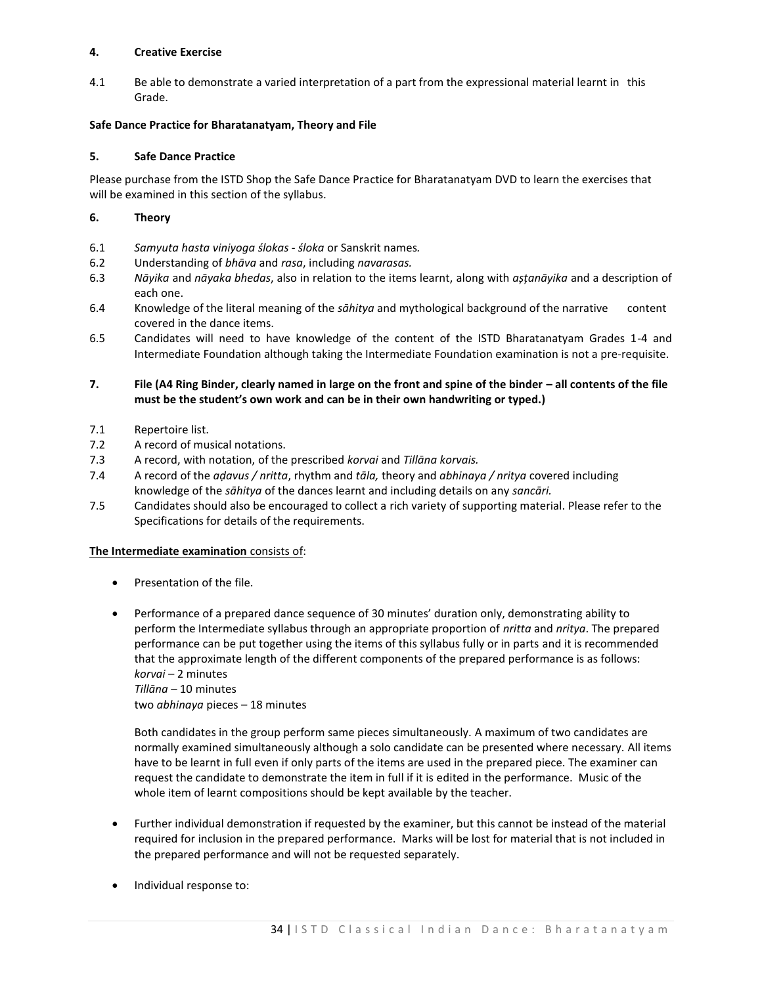# **4. Creative Exercise**

4.1 Be able to demonstrate a varied interpretation of a part from the expressional material learnt in this Grade.

# **Safe Dance Practice for Bharatanatyam, Theory and File**

# **5. Safe Dance Practice**

Please purchase from the ISTD Shop the Safe Dance Practice for Bharatanatyam DVD to learn the exercises that will be examined in this section of the syllabus.

# **6. Theory**

- 6.1 *Samyuta hasta viniyoga ślokas śloka* or Sanskrit names*.*
- 6.2 Understanding of *bhāva* and *rasa*, including *navarasas.*
- 6.3 *Nāyika* and *nāyaka bhedas*, also in relation to the items learnt, along with *așțanāyika* and a description of each one.
- 6.4 Knowledge of the literal meaning of the *sāhitya* and mythological background of the narrative content covered in the dance items.
- 6.5 Candidates will need to have knowledge of the content of the ISTD Bharatanatyam Grades 1-4 and Intermediate Foundation although taking the Intermediate Foundation examination is not a pre-requisite.

# **7. File (A4 Ring Binder, clearly named in large on the front and spine of the binder – all contents of the file must be the student's own work and can be in their own handwriting or typed.)**

- 7.1 Repertoire list.
- 7.2 A record of musical notations.
- 7.3 A record, with notation, of the prescribed *korvai* and *Tillāna korvais.*
- 7.4 A record of the *aḍavus / nritta*, rhythm and *tāla,* theory and *abhinaya / nritya* covered including knowledge of the *sāhitya* of the dances learnt and including details on any *sancāri.*
- 7.5 Candidates should also be encouraged to collect a rich variety of supporting material. Please refer to the Specifications for details of the requirements.

## **The Intermediate examination** consists of:

- Presentation of the file.
- Performance of a prepared dance sequence of 30 minutes' duration only, demonstrating ability to perform the Intermediate syllabus through an appropriate proportion of *nritta* and *nritya*. The prepared performance can be put together using the items of this syllabus fully or in parts and it is recommended that the approximate length of the different components of the prepared performance is as follows: *korvai* – 2 minutes *Tillāna* – 10 minutes

two *abhinaya* pieces – 18 minutes

Both candidates in the group perform same pieces simultaneously. A maximum of two candidates are normally examined simultaneously although a solo candidate can be presented where necessary. All items have to be learnt in full even if only parts of the items are used in the prepared piece. The examiner can request the candidate to demonstrate the item in full if it is edited in the performance. Music of the whole item of learnt compositions should be kept available by the teacher.

- Further individual demonstration if requested by the examiner, but this cannot be instead of the material required for inclusion in the prepared performance. Marks will be lost for material that is not included in the prepared performance and will not be requested separately.
- Individual response to: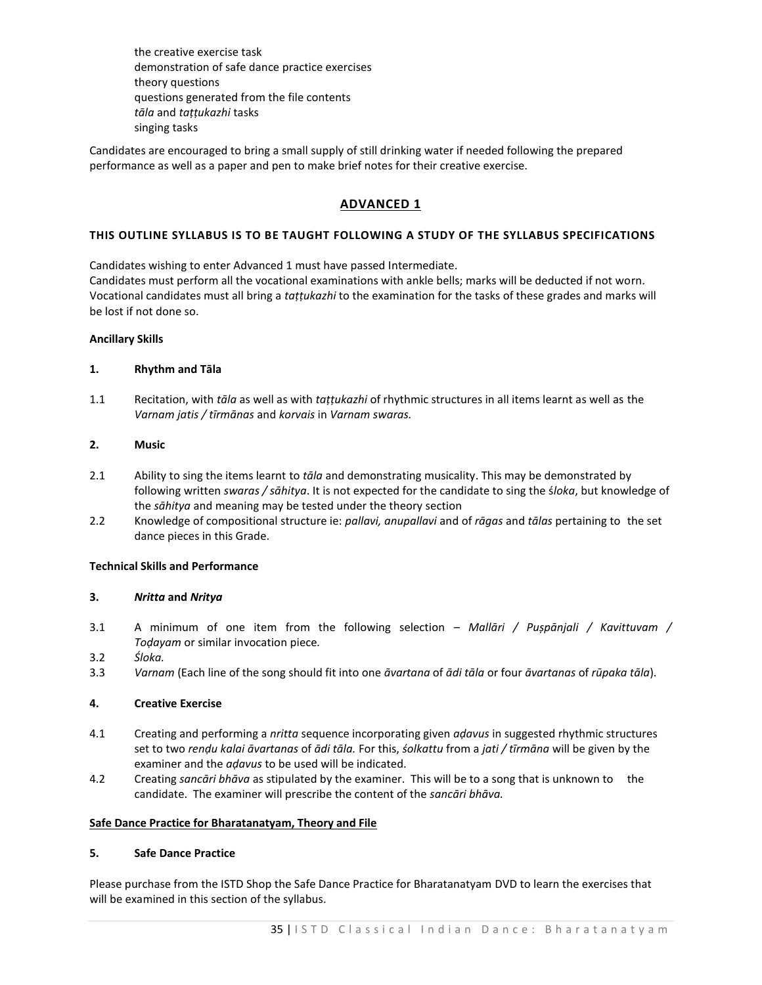the creative exercise task demonstration of safe dance practice exercises theory questions questions generated from the file contents *tāla* and *taṭṭukazhi* tasks singing tasks

Candidates are encouraged to bring a small supply of still drinking water if needed following the prepared performance as well as a paper and pen to make brief notes for their creative exercise.

# **ADVANCED 1**

# **THIS OUTLINE SYLLABUS IS TO BE TAUGHT FOLLOWING A STUDY OF THE SYLLABUS SPECIFICATIONS**

Candidates wishing to enter Advanced 1 must have passed Intermediate. Candidates must perform all the vocational examinations with ankle bells; marks will be deducted if not worn. Vocational candidates must all bring a *taṭṭukazhi* to the examination for the tasks of these grades and marks will be lost if not done so.

## **Ancillary Skills**

# **1. Rhythm and Tāla**

1.1 Recitation, with *tāla* as well as with *taṭṭukazhi* of rhythmic structures in all items learnt as well as the *Varnam jatis / tīrmānas* and *korvais* in *Varnam swaras.*

# **2. Music**

- 2.1 Ability to sing the items learnt to *tāla* and demonstrating musicality. This may be demonstrated by following written *swaras / sāhitya*. It is not expected for the candidate to sing the ś*loka*, but knowledge of the *sāhitya* and meaning may be tested under the theory section
- 2.2 Knowledge of compositional structure ie: *pallavi, anupallavi* and of *rāgas* and *tālas* pertaining to the set dance pieces in this Grade.

# **Technical Skills and Performance**

# **3.** *Nritta* **and** *Nritya*

- 3.1 A minimum of one item from the following selection *Mallāri / Pușpānjali / Kavittuvam / Toḍayam* or similar invocation piece*.*
- 3.2 *Śloka.*
- 3.3 *Varnam* (Each line of the song should fit into one *āvartana* of *ādi tāla* or four *āvartanas* of *rūpaka tāla*).

## **4. Creative Exercise**

- 4.1 Creating and performing a *nritta* sequence incorporating given *aḍavus* in suggested rhythmic structures set to two *renḍu kalai āvartanas* of *ādi tāla.* For this, *śolkattu* from a *jati / tīrmāna* will be given by the examiner and the *aḍavus* to be used will be indicated.
- 4.2 Creating *sancāri bhāva* as stipulated by the examiner. This will be to a song that is unknown to the candidate. The examiner will prescribe the content of the *sancāri bhāva.*

## **Safe Dance Practice for Bharatanatyam, Theory and File**

## **5. Safe Dance Practice**

Please purchase from the ISTD Shop the Safe Dance Practice for Bharatanatyam DVD to learn the exercises that will be examined in this section of the syllabus.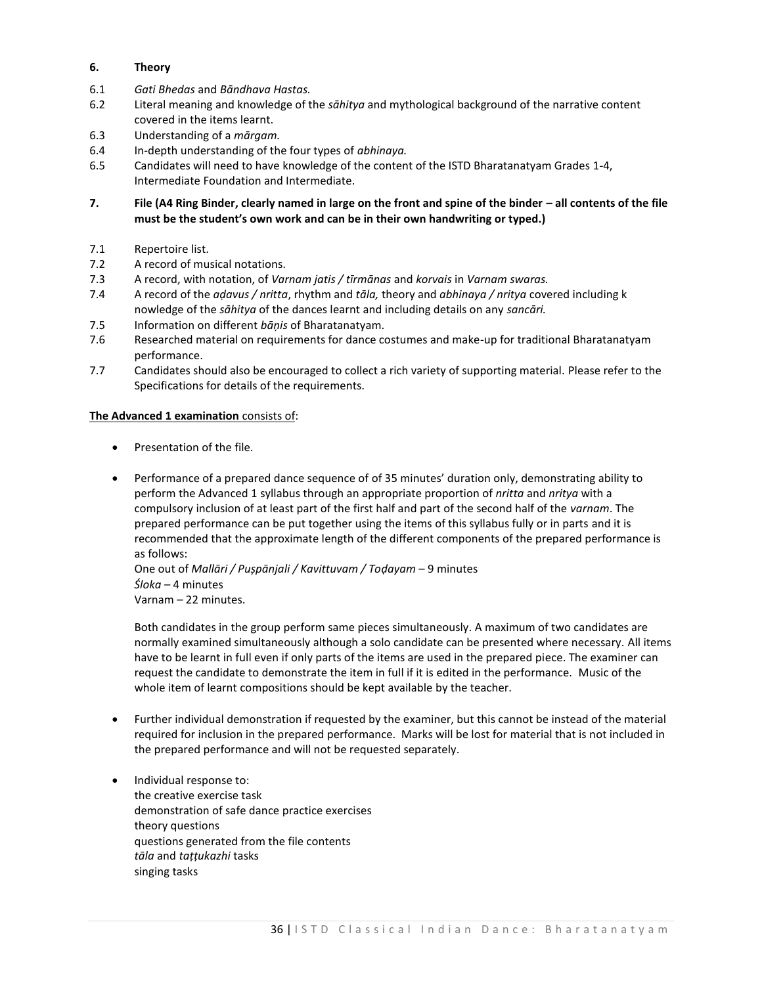# **6. Theory**

- 6.1 *Gati Bhedas* and *Bāndhava Hastas.*
- 6.2 Literal meaning and knowledge of the *sāhitya* and mythological background of the narrative content covered in the items learnt.
- 6.3 Understanding of a *mārgam.*
- 6.4 In-depth understanding of the four types of *abhinaya.*
- 6.5 Candidates will need to have knowledge of the content of the ISTD Bharatanatyam Grades 1-4, Intermediate Foundation and Intermediate.
- **7. File (A4 Ring Binder, clearly named in large on the front and spine of the binder – all contents of the file must be the student's own work and can be in their own handwriting or typed.)**
- 7.1 Repertoire list.
- 7.2 A record of musical notations.
- 7.3 A record, with notation, of *Varnam jatis / tīrmānas* and *korvais* in *Varnam swaras.*
- 7.4 A record of the *aḍavus / nritta*, rhythm and *tāla,* theory and *abhinaya / nritya* covered including k nowledge of the *sāhitya* of the dances learnt and including details on any *sancāri.*
- 7.5 Information on different *bāņis* of Bharatanatyam.
- 7.6 Researched material on requirements for dance costumes and make-up for traditional Bharatanatyam performance.
- 7.7 Candidates should also be encouraged to collect a rich variety of supporting material. Please refer to the Specifications for details of the requirements.

# **The Advanced 1 examination** consists of:

- Presentation of the file.
- Performance of a prepared dance sequence of of 35 minutes' duration only, demonstrating ability to perform the Advanced 1 syllabus through an appropriate proportion of *nritta* and *nritya* with a compulsory inclusion of at least part of the first half and part of the second half of the *varnam*. The prepared performance can be put together using the items of this syllabus fully or in parts and it is recommended that the approximate length of the different components of the prepared performance is as follows:

One out of *Mallāri / Pușpānjali / Kavittuvam / Toḍayam* – 9 minutes *Śloka* – 4 minutes Varnam – 22 minutes.

Both candidates in the group perform same pieces simultaneously. A maximum of two candidates are normally examined simultaneously although a solo candidate can be presented where necessary. All items have to be learnt in full even if only parts of the items are used in the prepared piece. The examiner can request the candidate to demonstrate the item in full if it is edited in the performance. Music of the whole item of learnt compositions should be kept available by the teacher.

- Further individual demonstration if requested by the examiner, but this cannot be instead of the material required for inclusion in the prepared performance. Marks will be lost for material that is not included in the prepared performance and will not be requested separately.
- Individual response to: the creative exercise task demonstration of safe dance practice exercises theory questions questions generated from the file contents *tāla* and *taṭṭukazhi* tasks singing tasks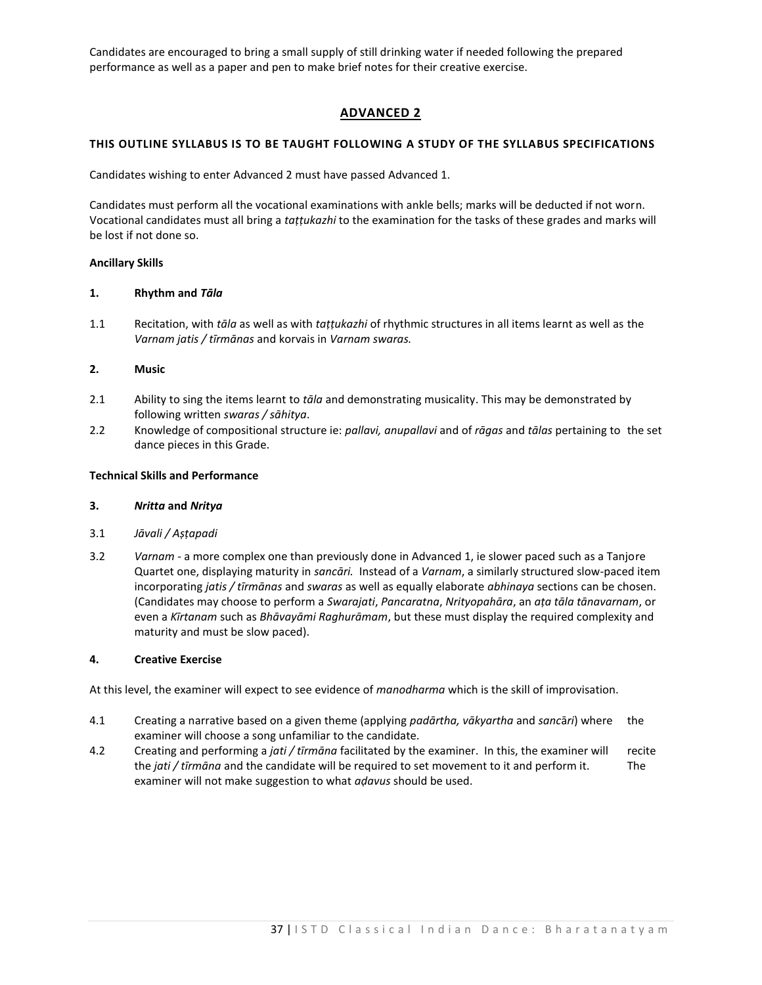Candidates are encouraged to bring a small supply of still drinking water if needed following the prepared performance as well as a paper and pen to make brief notes for their creative exercise.

# **ADVANCED 2**

# **THIS OUTLINE SYLLABUS IS TO BE TAUGHT FOLLOWING A STUDY OF THE SYLLABUS SPECIFICATIONS**

Candidates wishing to enter Advanced 2 must have passed Advanced 1.

Candidates must perform all the vocational examinations with ankle bells; marks will be deducted if not worn. Vocational candidates must all bring a *taṭṭukazhi* to the examination for the tasks of these grades and marks will be lost if not done so.

# **Ancillary Skills**

## **1. Rhythm and** *Tāla*

1.1 Recitation, with *tāla* as well as with *taṭṭukazhi* of rhythmic structures in all items learnt as well as the *Varnam jatis / tīrmānas* and korvais in *Varnam swaras.*

# **2. Music**

- 2.1 Ability to sing the items learnt to *tāla* and demonstrating musicality. This may be demonstrated by following written *swaras / sāhitya*.
- 2.2 Knowledge of compositional structure ie: *pallavi, anupallavi* and of *rāgas* and *tālas* pertaining to the set dance pieces in this Grade.

## **Technical Skills and Performance**

# **3.** *Nritta* **and** *Nritya*

- 3.1 *Jāvali / Aṣṭapadi*
- 3.2 *Varnam*  a more complex one than previously done in Advanced 1, ie slower paced such as a Tanjore Quartet one, displaying maturity in *sancāri.* Instead of a *Varnam*, a similarly structured slow-paced item incorporating *jatis / tīrmānas* and *swaras* as well as equally elaborate *abhinaya* sections can be chosen. (Candidates may choose to perform a *Swarajati*, *Pancaratna*, *Nrityopahāra*, an *aṭa tāla tānavarnam*, or even a *Kīrtanam* such as *Bhāvayāmi Raghurāmam*, but these must display the required complexity and maturity and must be slow paced).

## **4. Creative Exercise**

At this level, the examiner will expect to see evidence of *manodharma* which is the skill of improvisation.

- 4.1 Creating a narrative based on a given theme (applying *padārtha, vākyartha* and *sanc*ā*ri*) where the examiner will choose a song unfamiliar to the candidate.
- 4.2 Creating and performing a *jati / tīrmāna* facilitated by the examiner. In this, the examiner will recite the *jati / tīrmāna* and the candidate will be required to set movement to it and perform it. The examiner will not make suggestion to what *aḍavus* should be used.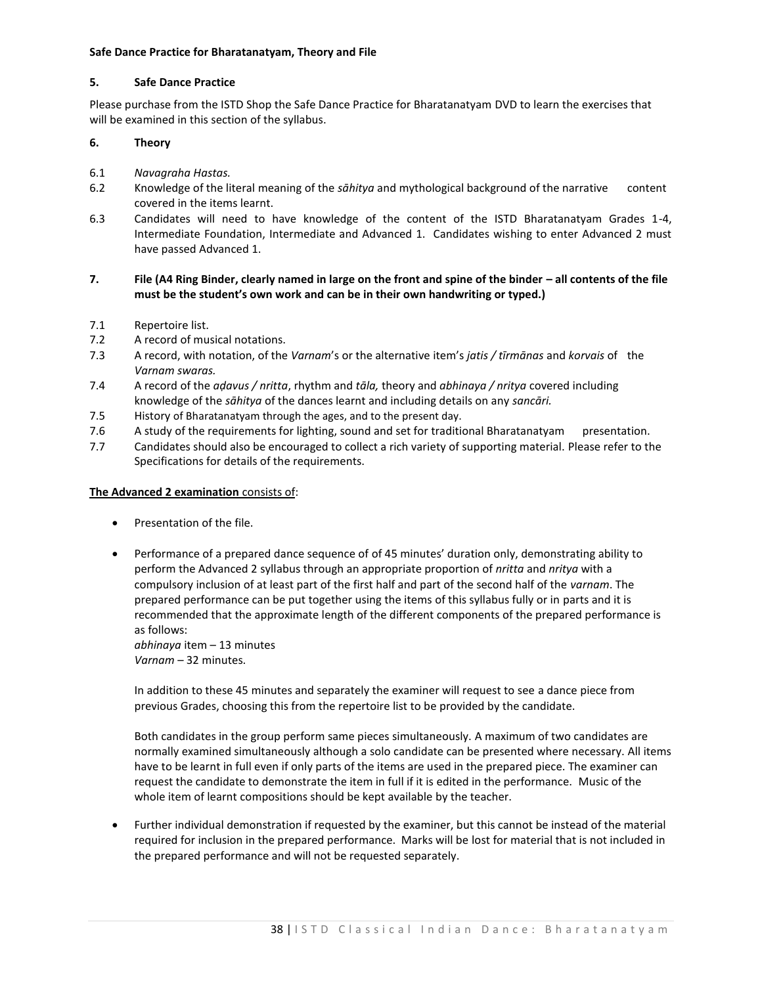# **Safe Dance Practice for Bharatanatyam, Theory and File**

# **5. Safe Dance Practice**

Please purchase from the ISTD Shop the Safe Dance Practice for Bharatanatyam DVD to learn the exercises that will be examined in this section of the syllabus.

# **6. Theory**

- 6.1 *Navagraha Hastas.*
- 6.2 Knowledge of the literal meaning of the *sāhitya* and mythological background of the narrative content covered in the items learnt.
- 6.3 Candidates will need to have knowledge of the content of the ISTD Bharatanatyam Grades 1-4, Intermediate Foundation, Intermediate and Advanced 1. Candidates wishing to enter Advanced 2 must have passed Advanced 1.
- **7. File (A4 Ring Binder, clearly named in large on the front and spine of the binder – all contents of the file must be the student's own work and can be in their own handwriting or typed.)**
- 7.1 Repertoire list.
- 7.2 A record of musical notations.
- 7.3 A record, with notation, of the *Varnam*'s or the alternative item's *jatis / tīrmānas* and *korvais* of the *Varnam swaras.*
- 7.4 A record of the *aḍavus / nritta*, rhythm and *tāla,* theory and *abhinaya / nritya* covered including knowledge of the *sāhitya* of the dances learnt and including details on any *sancāri.*
- 7.5 History of Bharatanatyam through the ages, and to the present day.
- 7.6 A study of the requirements for lighting, sound and set for traditional Bharatanatyam presentation.
- 7.7 Candidates should also be encouraged to collect a rich variety of supporting material. Please refer to the Specifications for details of the requirements.

# **The Advanced 2 examination** consists of:

- **•** Presentation of the file.
- Performance of a prepared dance sequence of of 45 minutes' duration only, demonstrating ability to perform the Advanced 2 syllabus through an appropriate proportion of *nritta* and *nritya* with a compulsory inclusion of at least part of the first half and part of the second half of the *varnam*. The prepared performance can be put together using the items of this syllabus fully or in parts and it is recommended that the approximate length of the different components of the prepared performance is as follows:

*abhinaya* item – 13 minutes *Varnam* – 32 minutes.

In addition to these 45 minutes and separately the examiner will request to see a dance piece from previous Grades, choosing this from the repertoire list to be provided by the candidate.

Both candidates in the group perform same pieces simultaneously. A maximum of two candidates are normally examined simultaneously although a solo candidate can be presented where necessary. All items have to be learnt in full even if only parts of the items are used in the prepared piece. The examiner can request the candidate to demonstrate the item in full if it is edited in the performance. Music of the whole item of learnt compositions should be kept available by the teacher.

 Further individual demonstration if requested by the examiner, but this cannot be instead of the material required for inclusion in the prepared performance. Marks will be lost for material that is not included in the prepared performance and will not be requested separately.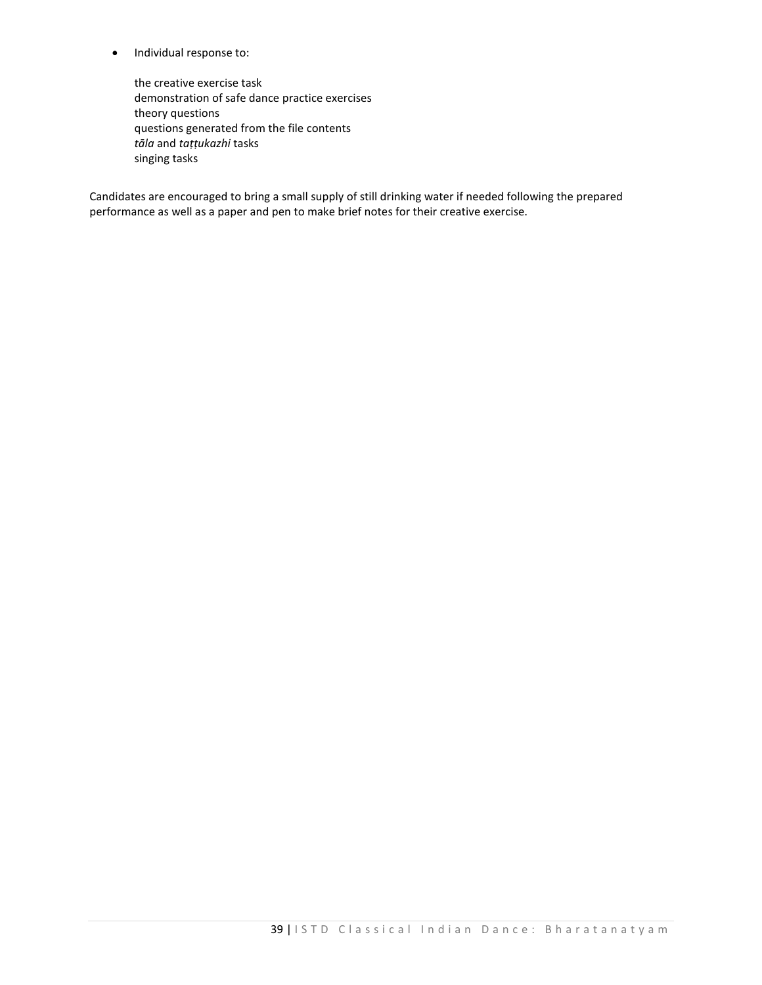• Individual response to:

the creative exercise task demonstration of safe dance practice exercises theory questions questions generated from the file contents *tāla* and *taṭṭukazhi* tasks singing tasks

Candidates are encouraged to bring a small supply of still drinking water if needed following the prepared performance as well as a paper and pen to make brief notes for their creative exercise.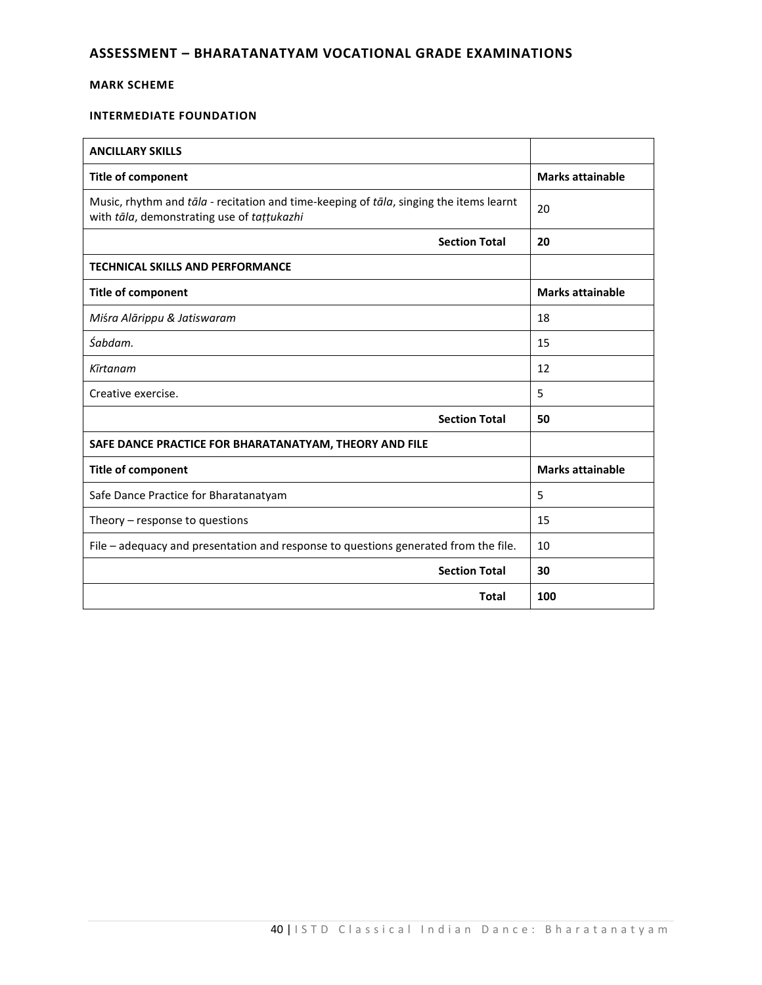# **ASSESSMENT – BHARATANATYAM VOCATIONAL GRADE EXAMINATIONS**

# **MARK SCHEME**

# **INTERMEDIATE FOUNDATION**

| <b>ANCILLARY SKILLS</b>                                                                                                              |                         |
|--------------------------------------------------------------------------------------------------------------------------------------|-------------------------|
| <b>Title of component</b>                                                                                                            | <b>Marks attainable</b> |
| Music, rhythm and tāla - recitation and time-keeping of tāla, singing the items learnt<br>with tāla, demonstrating use of tațțukazhi | 20                      |
| <b>Section Total</b>                                                                                                                 | 20                      |
| <b>TECHNICAL SKILLS AND PERFORMANCE</b>                                                                                              |                         |
| <b>Title of component</b>                                                                                                            | <b>Marks attainable</b> |
| Miśra Alārippu & Jatiswaram                                                                                                          | 18                      |
| Śabdam.                                                                                                                              | 15                      |
| Kīrtanam                                                                                                                             | 12                      |
| Creative exercise.                                                                                                                   | 5                       |
| <b>Section Total</b>                                                                                                                 | 50                      |
| SAFE DANCE PRACTICE FOR BHARATANATYAM, THEORY AND FILE                                                                               |                         |
| <b>Title of component</b>                                                                                                            | <b>Marks attainable</b> |
| Safe Dance Practice for Bharatanatyam                                                                                                | 5                       |
| Theory $-$ response to questions                                                                                                     | 15                      |
| File – adequacy and presentation and response to questions generated from the file.                                                  | 10                      |
| <b>Section Total</b>                                                                                                                 | 30                      |
| <b>Total</b>                                                                                                                         | 100                     |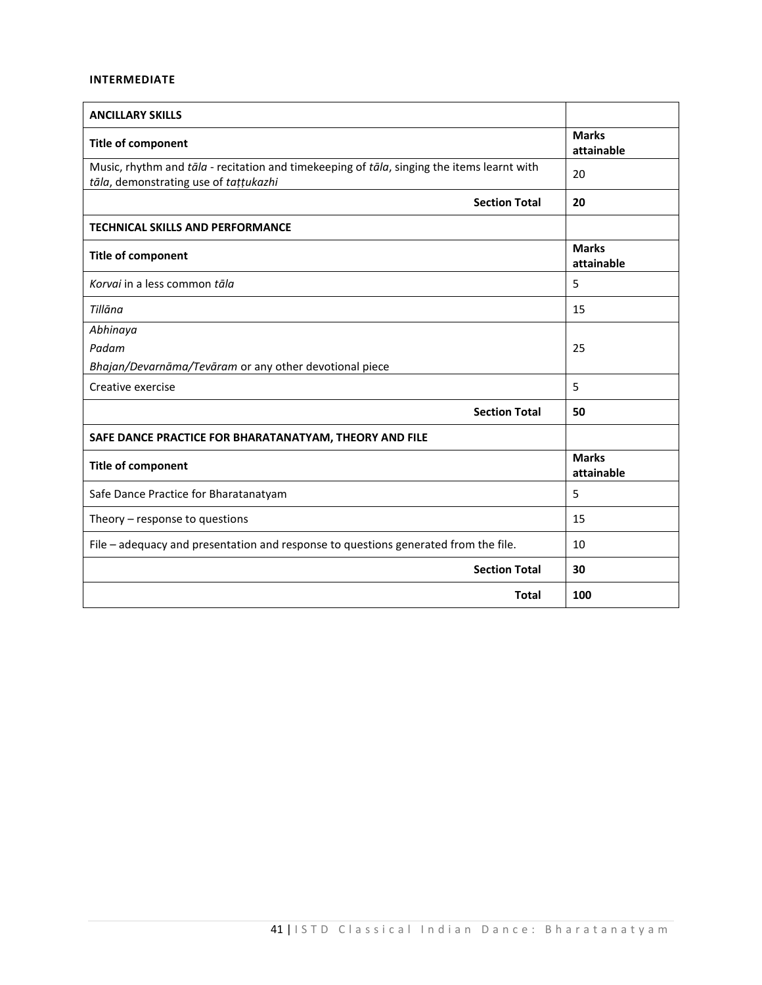# **INTERMEDIATE**

| <b>ANCILLARY SKILLS</b>                                                                                                             |                            |
|-------------------------------------------------------------------------------------------------------------------------------------|----------------------------|
| <b>Title of component</b>                                                                                                           | <b>Marks</b><br>attainable |
| Music, rhythm and tāla - recitation and timekeeping of tāla, singing the items learnt with<br>tāla, demonstrating use of tațțukazhi | 20                         |
| <b>Section Total</b>                                                                                                                | 20                         |
| TECHNICAL SKILLS AND PERFORMANCE                                                                                                    |                            |
| <b>Title of component</b>                                                                                                           | <b>Marks</b><br>attainable |
| Korvai in a less common tāla                                                                                                        | 5                          |
| Tillāna                                                                                                                             | 15                         |
| Abhinaya                                                                                                                            |                            |
| Padam                                                                                                                               | 25                         |
| Bhajan/Devarnāma/Tevāram or any other devotional piece                                                                              |                            |
| Creative exercise                                                                                                                   | 5                          |
| <b>Section Total</b>                                                                                                                | 50                         |
| SAFE DANCE PRACTICE FOR BHARATANATYAM, THEORY AND FILE                                                                              |                            |
| <b>Title of component</b>                                                                                                           | <b>Marks</b><br>attainable |
| Safe Dance Practice for Bharatanatyam                                                                                               | 5                          |
| Theory - response to questions                                                                                                      | 15                         |
| File - adequacy and presentation and response to questions generated from the file.                                                 | 10                         |
| <b>Section Total</b>                                                                                                                | 30                         |
| <b>Total</b>                                                                                                                        | 100                        |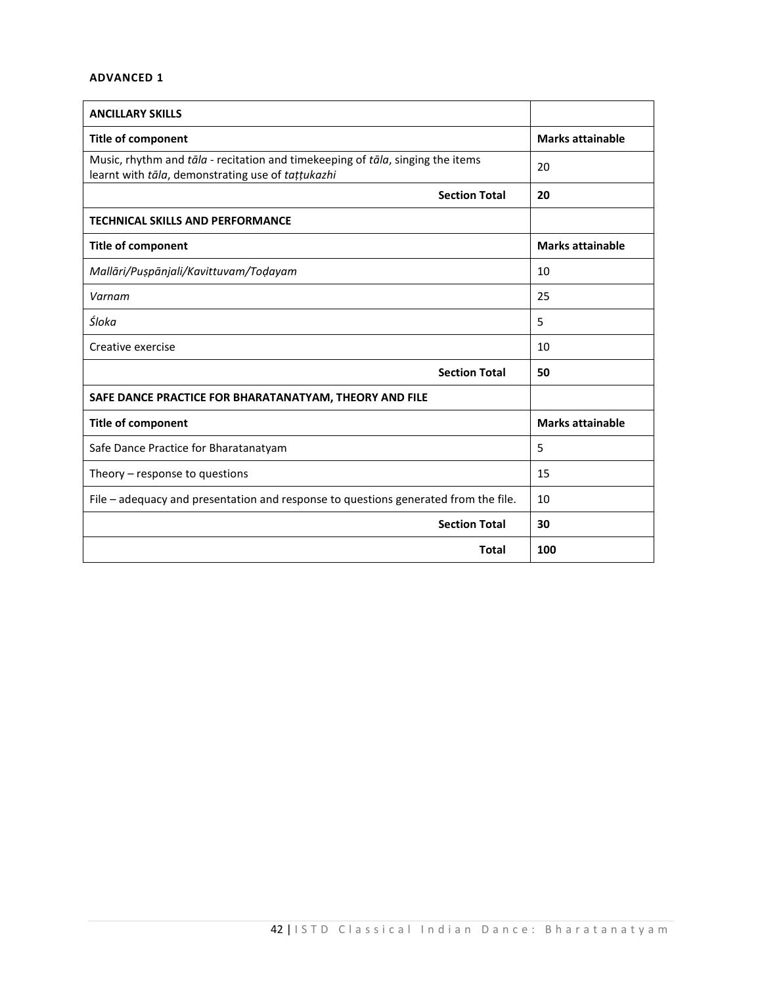# **ADVANCED 1**

| <b>ANCILLARY SKILLS</b>                                                                                                             |                         |  |
|-------------------------------------------------------------------------------------------------------------------------------------|-------------------------|--|
| <b>Title of component</b>                                                                                                           | <b>Marks attainable</b> |  |
| Music, rhythm and tāla - recitation and timekeeping of tāla, singing the items<br>learnt with tāla, demonstrating use of tattukazhi | 20                      |  |
| <b>Section Total</b>                                                                                                                | 20                      |  |
| <b>TECHNICAL SKILLS AND PERFORMANCE</b>                                                                                             |                         |  |
| <b>Title of component</b>                                                                                                           | <b>Marks attainable</b> |  |
| Mallāri/Puṣpānjali/Kavittuvam/Toḍayam                                                                                               | 10                      |  |
| Varnam                                                                                                                              | 25                      |  |
| Śloka                                                                                                                               | 5                       |  |
| Creative exercise                                                                                                                   | 10                      |  |
| <b>Section Total</b>                                                                                                                | 50                      |  |
| SAFE DANCE PRACTICE FOR BHARATANATYAM, THEORY AND FILE                                                                              |                         |  |
| <b>Title of component</b>                                                                                                           | <b>Marks attainable</b> |  |
| Safe Dance Practice for Bharatanatyam                                                                                               | 5                       |  |
| Theory $-$ response to questions                                                                                                    | 15                      |  |
| File – adequacy and presentation and response to questions generated from the file.                                                 | 10                      |  |
| <b>Section Total</b>                                                                                                                | 30                      |  |
| <b>Total</b>                                                                                                                        | 100                     |  |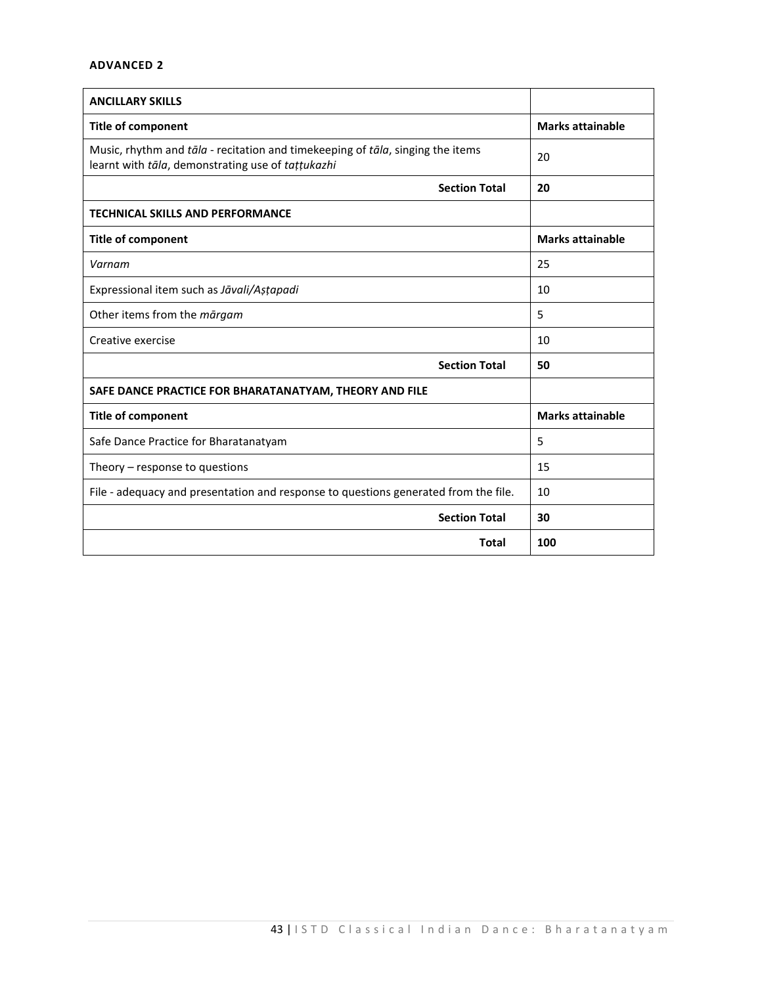# **ADVANCED 2**

| <b>ANCILLARY SKILLS</b>                                                                                                             |                         |  |
|-------------------------------------------------------------------------------------------------------------------------------------|-------------------------|--|
| <b>Title of component</b>                                                                                                           | <b>Marks attainable</b> |  |
| Music, rhythm and tāla - recitation and timekeeping of tāla, singing the items<br>learnt with tāla, demonstrating use of tattukazhi | 20                      |  |
| <b>Section Total</b>                                                                                                                | 20                      |  |
| <b>TECHNICAL SKILLS AND PERFORMANCE</b>                                                                                             |                         |  |
| <b>Title of component</b>                                                                                                           | <b>Marks attainable</b> |  |
| Varnam                                                                                                                              | 25                      |  |
| Expressional item such as Jāvali/Astapadi                                                                                           | 10                      |  |
| Other items from the margam                                                                                                         | 5                       |  |
| Creative exercise                                                                                                                   | 10                      |  |
| <b>Section Total</b>                                                                                                                | 50                      |  |
| SAFE DANCE PRACTICE FOR BHARATANATYAM, THEORY AND FILE                                                                              |                         |  |
| <b>Title of component</b>                                                                                                           | <b>Marks attainable</b> |  |
| Safe Dance Practice for Bharatanatyam                                                                                               | 5                       |  |
| Theory $-$ response to questions                                                                                                    | 15                      |  |
| File - adequacy and presentation and response to questions generated from the file.                                                 | 10                      |  |
| <b>Section Total</b>                                                                                                                | 30                      |  |
| <b>Total</b>                                                                                                                        | 100                     |  |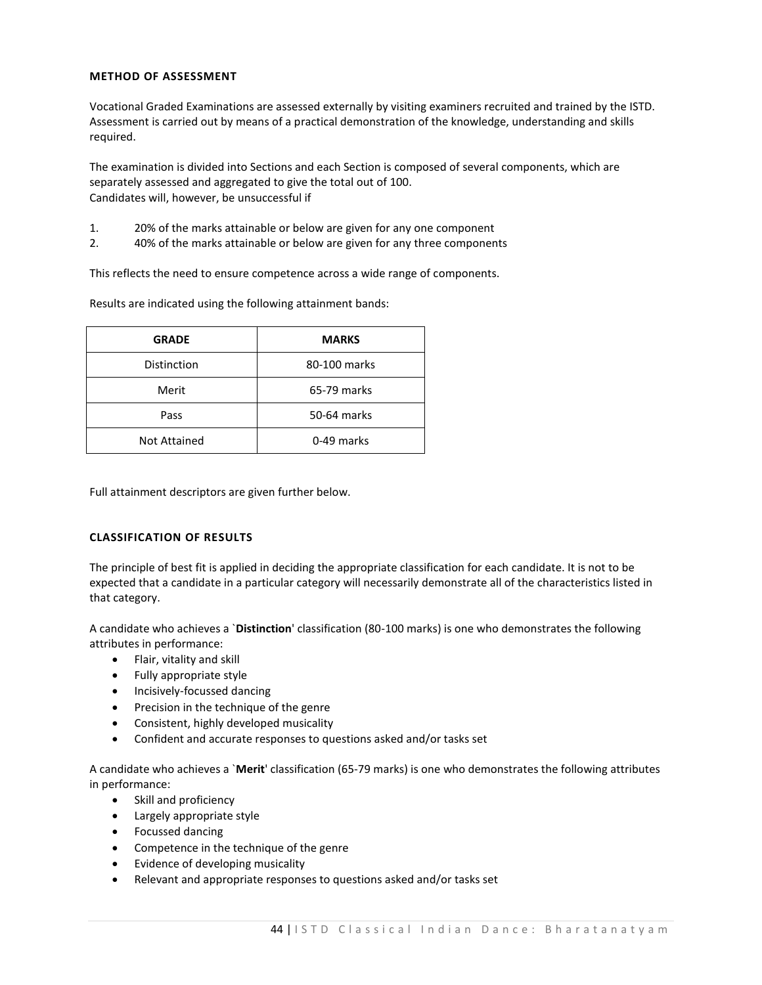# **METHOD OF ASSESSMENT**

Vocational Graded Examinations are assessed externally by visiting examiners recruited and trained by the ISTD. Assessment is carried out by means of a practical demonstration of the knowledge, understanding and skills required.

The examination is divided into Sections and each Section is composed of several components, which are separately assessed and aggregated to give the total out of 100. Candidates will, however, be unsuccessful if

- 1. 20% of the marks attainable or below are given for any one component
- 2. 40% of the marks attainable or below are given for any three components

This reflects the need to ensure competence across a wide range of components.

Results are indicated using the following attainment bands:

| <b>MARKS</b> |  |  |
|--------------|--|--|
| 80-100 marks |  |  |
| 65-79 marks  |  |  |
| 50-64 marks  |  |  |
| 0-49 marks   |  |  |
|              |  |  |

Full attainment descriptors are given further below.

# **CLASSIFICATION OF RESULTS**

The principle of best fit is applied in deciding the appropriate classification for each candidate. It is not to be expected that a candidate in a particular category will necessarily demonstrate all of the characteristics listed in that category.

A candidate who achieves a `**Distinction**' classification (80-100 marks) is one who demonstrates the following attributes in performance:

- Flair, vitality and skill
- Fully appropriate style
- Incisively-focussed dancing
- Precision in the technique of the genre
- Consistent, highly developed musicality
- Confident and accurate responses to questions asked and/or tasks set

A candidate who achieves a `**Merit**' classification (65-79 marks) is one who demonstrates the following attributes in performance:

- Skill and proficiency
- Largely appropriate style
- Focussed dancing
- Competence in the technique of the genre
- Evidence of developing musicality
- Relevant and appropriate responses to questions asked and/or tasks set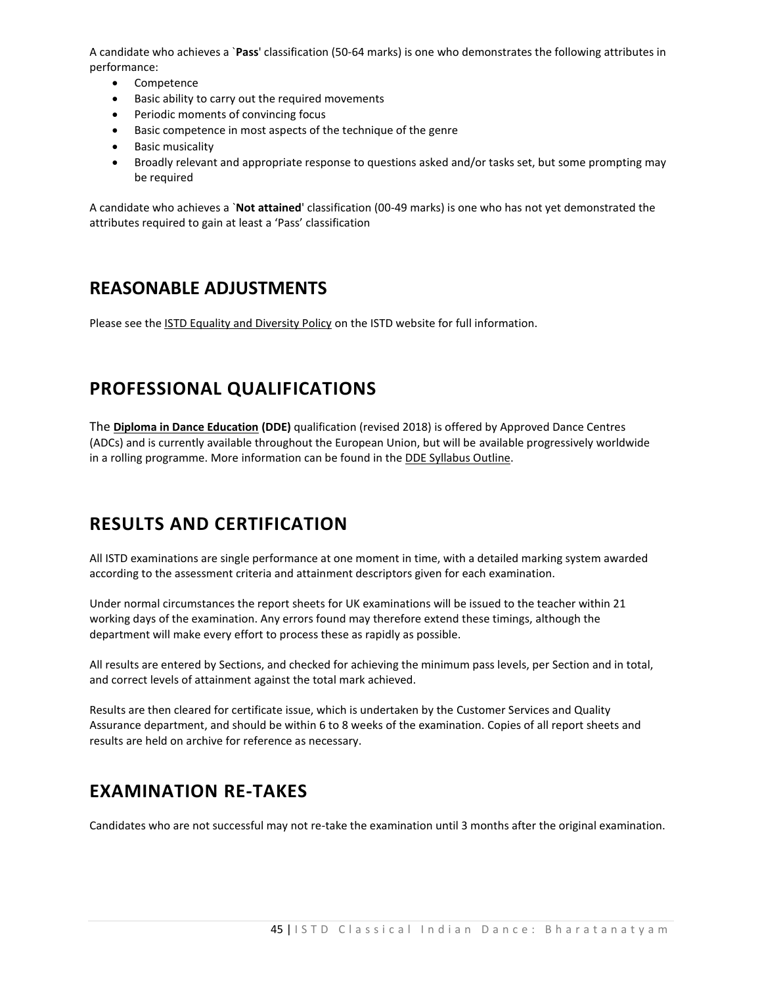A candidate who achieves a `**Pass**' classification (50-64 marks) is one who demonstrates the following attributes in performance:

- Competence
- Basic ability to carry out the required movements
- Periodic moments of convincing focus
- Basic competence in most aspects of the technique of the genre
- **•** Basic musicality
- Broadly relevant and appropriate response to questions asked and/or tasks set, but some prompting may be required

A candidate who achieves a `**Not attained**' classification (00-49 marks) is one who has not yet demonstrated the attributes required to gain at least a 'Pass' classification

# **REASONABLE ADJUSTMENTS**

Please see the **ISTD Equality and Diversity Policy** on the ISTD website for full information.

# **PROFESSIONAL QUALIFICATIONS**

The **Diploma in Dance Education (DDE)** qualification (revised 2018) is offered by Approved Dance Centres (ADCs) and is currently available throughout the European Union, but will be available progressively worldwide in a rolling programme. More information can be found in th[e DDE Syllabus Outline.](https://www.istd.org/about-us/documents/istd-level-4-diploma-in-dance-education-revised-2018-syllabus/)

# **RESULTS AND CERTIFICATION**

All ISTD examinations are single performance at one moment in time, with a detailed marking system awarded according to the assessment criteria and attainment descriptors given for each examination.

Under normal circumstances the report sheets for UK examinations will be issued to the teacher within 21 working days of the examination. Any errors found may therefore extend these timings, although the department will make every effort to process these as rapidly as possible.

All results are entered by Sections, and checked for achieving the minimum pass levels, per Section and in total, and correct levels of attainment against the total mark achieved.

Results are then cleared for certificate issue, which is undertaken by the Customer Services and Quality Assurance department, and should be within 6 to 8 weeks of the examination. Copies of all report sheets and results are held on archive for reference as necessary.

# **EXAMINATION RE-TAKES**

Candidates who are not successful may not re-take the examination until 3 months after the original examination.